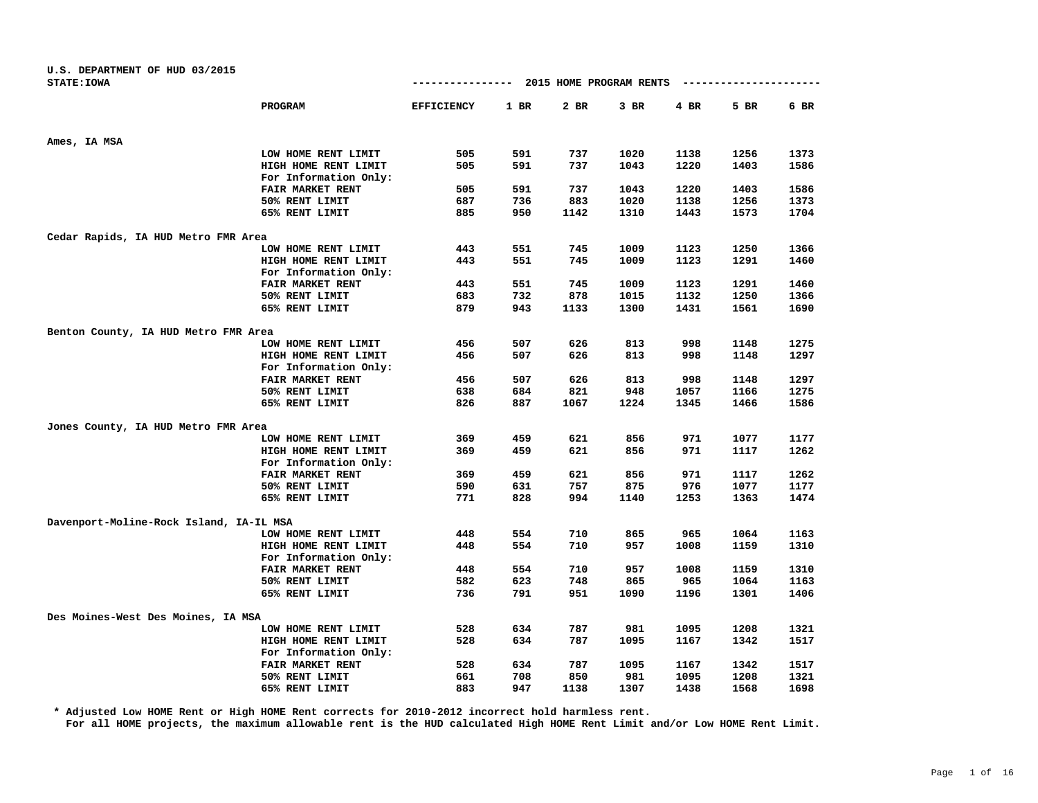| U.S. DEPARTMENT OF HUD 03/2015<br><b>STATE: IOWA</b> |                         | ----------------  |      | 2015 HOME PROGRAM RENTS |        |      |      |      |
|------------------------------------------------------|-------------------------|-------------------|------|-------------------------|--------|------|------|------|
|                                                      |                         |                   |      |                         |        |      |      |      |
|                                                      | PROGRAM                 | <b>EFFICIENCY</b> | 1 BR | 2 BR                    | $3$ BR | 4 BR | 5 BR | 6 BR |
| Ames, IA MSA                                         |                         |                   |      |                         |        |      |      |      |
|                                                      | LOW HOME RENT LIMIT     | 505               | 591  | 737                     | 1020   | 1138 | 1256 | 1373 |
|                                                      | HIGH HOME RENT LIMIT    | 505               | 591  | 737                     | 1043   | 1220 | 1403 | 1586 |
|                                                      | For Information Only:   |                   |      |                         |        |      |      |      |
|                                                      | FAIR MARKET RENT        | 505               | 591  | 737                     | 1043   | 1220 | 1403 | 1586 |
|                                                      | 50% RENT LIMIT          | 687               | 736  | 883                     | 1020   | 1138 | 1256 | 1373 |
|                                                      | 65% RENT LIMIT          | 885               | 950  | 1142                    | 1310   | 1443 | 1573 | 1704 |
| Cedar Rapids, IA HUD Metro FMR Area                  |                         |                   |      |                         |        |      |      |      |
|                                                      | LOW HOME RENT LIMIT     | 443               | 551  | 745                     | 1009   | 1123 | 1250 | 1366 |
|                                                      | HIGH HOME RENT LIMIT    | 443               | 551  | 745                     | 1009   | 1123 | 1291 | 1460 |
|                                                      | For Information Only:   |                   |      |                         |        |      |      |      |
|                                                      | FAIR MARKET RENT        | 443               | 551  | 745                     | 1009   | 1123 | 1291 | 1460 |
|                                                      | 50% RENT LIMIT          | 683               | 732  | 878                     | 1015   | 1132 | 1250 | 1366 |
|                                                      | 65% RENT LIMIT          | 879               | 943  | 1133                    | 1300   | 1431 | 1561 | 1690 |
| Benton County, IA HUD Metro FMR Area                 |                         |                   |      |                         |        |      |      |      |
|                                                      | LOW HOME RENT LIMIT     | 456               | 507  | 626                     | 813    | 998  | 1148 | 1275 |
|                                                      | HIGH HOME RENT LIMIT    | 456               | 507  | 626                     | 813    | 998  | 1148 | 1297 |
|                                                      | For Information Only:   |                   |      |                         |        |      |      |      |
|                                                      | <b>FAIR MARKET RENT</b> | 456               | 507  | 626                     | 813    | 998  | 1148 | 1297 |
|                                                      | 50% RENT LIMIT          | 638               | 684  | 821                     | 948    | 1057 | 1166 | 1275 |
|                                                      | 65% RENT LIMIT          | 826               | 887  | 1067                    | 1224   | 1345 | 1466 | 1586 |
| Jones County, IA HUD Metro FMR Area                  |                         |                   |      |                         |        |      |      |      |
|                                                      | LOW HOME RENT LIMIT     | 369               | 459  | 621                     | 856    | 971  | 1077 | 1177 |
|                                                      | HIGH HOME RENT LIMIT    | 369               | 459  | 621                     | 856    | 971  | 1117 | 1262 |
|                                                      | For Information Only:   |                   |      |                         |        |      |      |      |
|                                                      | FAIR MARKET RENT        | 369               | 459  | 621                     | 856    | 971  | 1117 | 1262 |
|                                                      | 50% RENT LIMIT          | 590               | 631  | 757                     | 875    | 976  | 1077 | 1177 |
|                                                      | 65% RENT LIMIT          | 771               | 828  | 994                     | 1140   | 1253 | 1363 | 1474 |
| Davenport-Moline-Rock Island, IA-IL MSA              |                         |                   |      |                         |        |      |      |      |
|                                                      | LOW HOME RENT LIMIT     | 448               | 554  | 710                     | 865    | 965  | 1064 | 1163 |
|                                                      | HIGH HOME RENT LIMIT    | 448               | 554  | 710                     | 957    | 1008 | 1159 | 1310 |
|                                                      | For Information Only:   |                   |      |                         |        |      |      |      |
|                                                      | FAIR MARKET RENT        | 448               | 554  | 710                     | 957    | 1008 | 1159 | 1310 |
|                                                      | 50% RENT LIMIT          | 582               | 623  | 748                     | 865    | 965  | 1064 | 1163 |
|                                                      | 65% RENT LIMIT          | 736               | 791  | 951                     | 1090   | 1196 | 1301 | 1406 |
| Des Moines-West Des Moines, IA MSA                   |                         |                   |      |                         |        |      |      |      |
|                                                      | LOW HOME RENT LIMIT     | 528               | 634  | 787                     | 981    | 1095 | 1208 | 1321 |
|                                                      | HIGH HOME RENT LIMIT    | 528               | 634  | 787                     | 1095   | 1167 | 1342 | 1517 |
|                                                      | For Information Only:   |                   |      |                         |        |      |      |      |
|                                                      | FAIR MARKET RENT        | 528               | 634  | 787                     | 1095   | 1167 | 1342 | 1517 |
|                                                      | 50% RENT LIMIT          | 661               | 708  | 850                     | 981    | 1095 | 1208 | 1321 |
|                                                      | 65% RENT LIMIT          | 883               | 947  | 1138                    | 1307   | 1438 | 1568 | 1698 |

**\* Adjusted Low HOME Rent or High HOME Rent corrects for 2010-2012 incorrect hold harmless rent.**

**For all HOME projects, the maximum allowable rent is the HUD calculated High HOME Rent Limit and/or Low HOME Rent Limit.**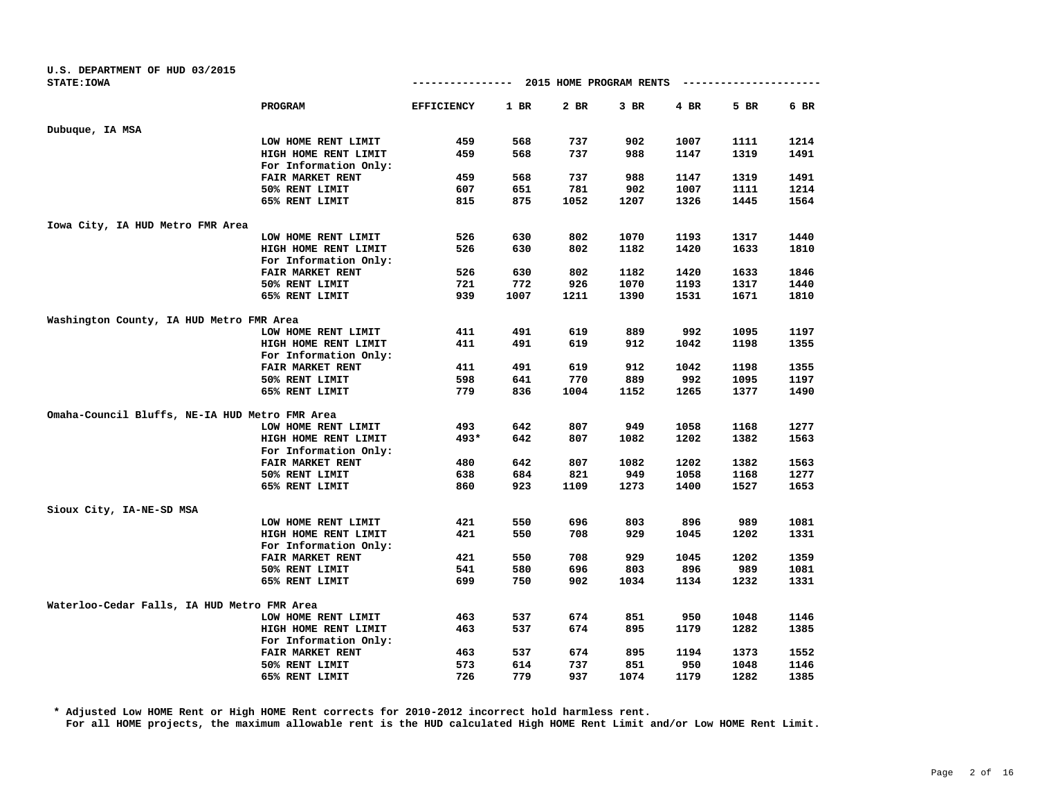| U.S. DEPARTMENT OF HUD 03/2015                 |                         |                   |      |                         |        |      |      |      |
|------------------------------------------------|-------------------------|-------------------|------|-------------------------|--------|------|------|------|
| <b>STATE: IOWA</b>                             |                         | -------------     |      | 2015 HOME PROGRAM RENTS |        |      |      |      |
|                                                | <b>PROGRAM</b>          | <b>EFFICIENCY</b> | 1 BR | 2 BR                    | $3$ BR | 4 BR | 5 BR | 6 BR |
| Dubuque, IA MSA                                |                         |                   |      |                         |        |      |      |      |
|                                                | LOW HOME RENT LIMIT     | 459               | 568  | 737                     | 902    | 1007 | 1111 | 1214 |
|                                                | HIGH HOME RENT LIMIT    | 459               | 568  | 737                     | 988    | 1147 | 1319 | 1491 |
|                                                | For Information Only:   |                   |      |                         |        |      |      |      |
|                                                | FAIR MARKET RENT        | 459               | 568  | 737                     | 988    | 1147 | 1319 | 1491 |
|                                                | 50% RENT LIMIT          | 607               | 651  | 781                     | 902    | 1007 | 1111 | 1214 |
|                                                | 65% RENT LIMIT          | 815               | 875  | 1052                    | 1207   | 1326 | 1445 | 1564 |
| Iowa City, IA HUD Metro FMR Area               |                         |                   |      |                         |        |      |      |      |
|                                                | LOW HOME RENT LIMIT     | 526               | 630  | 802                     | 1070   | 1193 | 1317 | 1440 |
|                                                | HIGH HOME RENT LIMIT    | 526               | 630  | 802                     | 1182   | 1420 | 1633 | 1810 |
|                                                | For Information Only:   |                   |      |                         |        |      |      |      |
|                                                | FAIR MARKET RENT        | 526               | 630  | 802                     | 1182   | 1420 | 1633 | 1846 |
|                                                | 50% RENT LIMIT          | 721               | 772  | 926                     | 1070   | 1193 | 1317 | 1440 |
|                                                | 65% RENT LIMIT          | 939               | 1007 | 1211                    | 1390   | 1531 | 1671 | 1810 |
| Washington County, IA HUD Metro FMR Area       |                         |                   |      |                         |        |      |      |      |
|                                                | LOW HOME RENT LIMIT     | 411               | 491  | 619                     | 889    | 992  | 1095 | 1197 |
|                                                | HIGH HOME RENT LIMIT    | 411               | 491  | 619                     | 912    | 1042 | 1198 | 1355 |
|                                                | For Information Only:   |                   |      |                         |        |      |      |      |
|                                                | FAIR MARKET RENT        | 411               | 491  | 619                     | 912    | 1042 | 1198 | 1355 |
|                                                | 50% RENT LIMIT          | 598               | 641  | 770                     | 889    | 992  | 1095 | 1197 |
|                                                | 65% RENT LIMIT          | 779               | 836  | 1004                    | 1152   | 1265 | 1377 | 1490 |
| Omaha-Council Bluffs, NE-IA HUD Metro FMR Area |                         |                   |      |                         |        |      |      |      |
|                                                | LOW HOME RENT LIMIT     | 493               | 642  | 807                     | 949    | 1058 | 1168 | 1277 |
|                                                | HIGH HOME RENT LIMIT    | $493*$            | 642  | 807                     | 1082   | 1202 | 1382 | 1563 |
|                                                | For Information Only:   |                   |      |                         |        |      |      |      |
|                                                | <b>FAIR MARKET RENT</b> | 480               | 642  | 807                     | 1082   | 1202 | 1382 | 1563 |
|                                                | 50% RENT LIMIT          | 638               | 684  | 821                     | 949    | 1058 | 1168 | 1277 |
|                                                | 65% RENT LIMIT          | 860               | 923  | 1109                    | 1273   | 1400 | 1527 | 1653 |
| Sioux City, IA-NE-SD MSA                       |                         |                   |      |                         |        |      |      |      |
|                                                | LOW HOME RENT LIMIT     | 421               | 550  | 696                     | 803    | 896  | 989  | 1081 |
|                                                | HIGH HOME RENT LIMIT    | 421               | 550  | 708                     | 929    | 1045 | 1202 | 1331 |
|                                                | For Information Only:   |                   |      |                         |        |      |      |      |
|                                                | FAIR MARKET RENT        | 421               | 550  | 708                     | 929    | 1045 | 1202 | 1359 |
|                                                | 50% RENT LIMIT          | 541               | 580  | 696                     | 803    | 896  | 989  | 1081 |
|                                                | 65% RENT LIMIT          | 699               | 750  | 902                     | 1034   | 1134 | 1232 | 1331 |
| Waterloo-Cedar Falls, IA HUD Metro FMR Area    |                         |                   |      |                         |        |      |      |      |
|                                                | LOW HOME RENT LIMIT     | 463               | 537  | 674                     | 851    | 950  | 1048 | 1146 |
|                                                | HIGH HOME RENT LIMIT    | 463               | 537  | 674                     | 895    | 1179 | 1282 | 1385 |
|                                                | For Information Only:   |                   |      |                         |        |      |      |      |
|                                                | FAIR MARKET RENT        | 463               | 537  | 674                     | 895    | 1194 | 1373 | 1552 |
|                                                | 50% RENT LIMIT          | 573               | 614  | 737                     | 851    | 950  | 1048 | 1146 |
|                                                | 65% RENT LIMIT          | 726               | 779  | 937                     | 1074   | 1179 | 1282 | 1385 |

**\* Adjusted Low HOME Rent or High HOME Rent corrects for 2010-2012 incorrect hold harmless rent.**

**For all HOME projects, the maximum allowable rent is the HUD calculated High HOME Rent Limit and/or Low HOME Rent Limit.**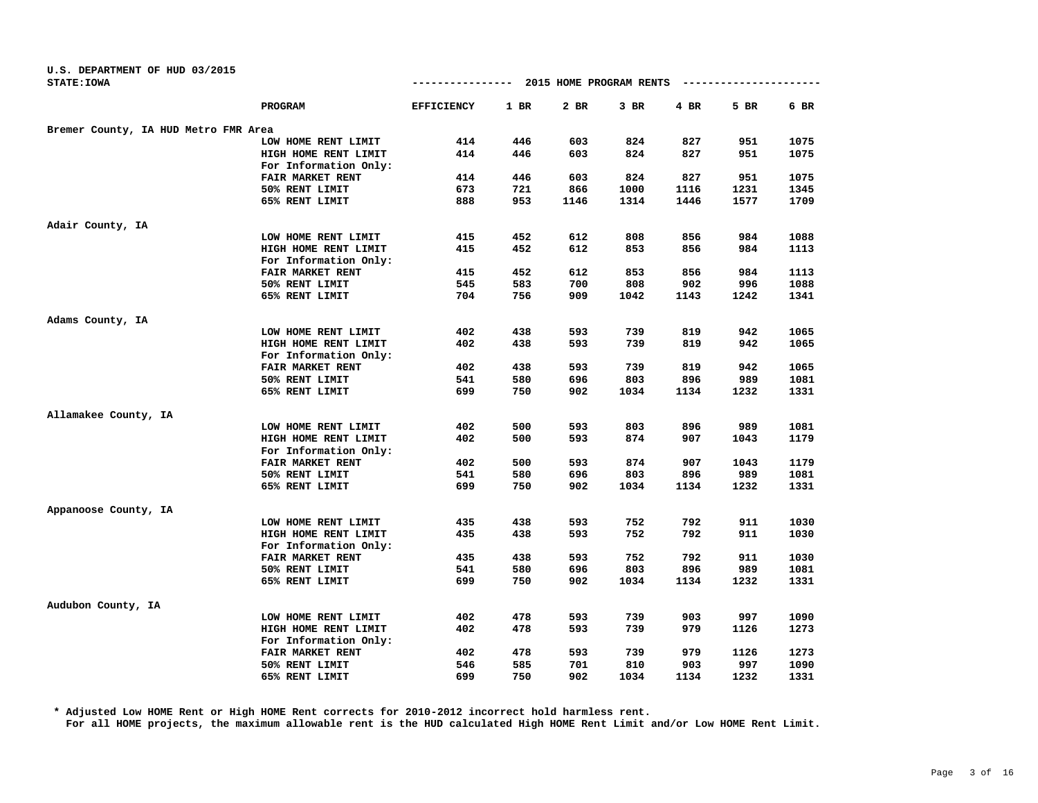| U.S. DEPARTMENT OF HUD 03/2015       |                       |                   |        |                         |      |            |      |      |
|--------------------------------------|-----------------------|-------------------|--------|-------------------------|------|------------|------|------|
| <b>STATE: IOWA</b>                   |                       | --------------    |        | 2015 HOME PROGRAM RENTS |      | ---------- |      |      |
|                                      | PROGRAM               | <b>EFFICIENCY</b> | $1$ BR | 2 BR                    | 3 BR | $4$ BR     | 5 BR | 6 BR |
| Bremer County, IA HUD Metro FMR Area |                       |                   |        |                         |      |            |      |      |
|                                      | LOW HOME RENT LIMIT   | 414               | 446    | 603                     | 824  | 827        | 951  | 1075 |
|                                      | HIGH HOME RENT LIMIT  | 414               | 446    | 603                     | 824  | 827        | 951  | 1075 |
|                                      | For Information Only: |                   |        |                         |      |            |      |      |
|                                      | FAIR MARKET RENT      | 414               | 446    | 603                     | 824  | 827        | 951  | 1075 |
|                                      | 50% RENT LIMIT        | 673               | 721    | 866                     | 1000 | 1116       | 1231 | 1345 |
|                                      | 65% RENT LIMIT        | 888               | 953    | 1146                    | 1314 | 1446       | 1577 | 1709 |
| Adair County, IA                     |                       |                   |        |                         |      |            |      |      |
|                                      | LOW HOME RENT LIMIT   | 415               | 452    | 612                     | 808  | 856        | 984  | 1088 |
|                                      | HIGH HOME RENT LIMIT  | 415               | 452    | 612                     | 853  | 856        | 984  | 1113 |
|                                      | For Information Only: |                   |        |                         |      |            |      |      |
|                                      | FAIR MARKET RENT      | 415               | 452    | 612                     | 853  | 856        | 984  | 1113 |
|                                      | 50% RENT LIMIT        | 545               | 583    | 700                     | 808  | 902        | 996  | 1088 |
|                                      | 65% RENT LIMIT        | 704               | 756    | 909                     | 1042 | 1143       | 1242 | 1341 |
| Adams County, IA                     |                       |                   |        |                         |      |            |      |      |
|                                      | LOW HOME RENT LIMIT   | 402               | 438    | 593                     | 739  | 819        | 942  | 1065 |
|                                      | HIGH HOME RENT LIMIT  | 402               | 438    | 593                     | 739  | 819        | 942  | 1065 |
|                                      | For Information Only: |                   |        |                         |      |            |      |      |
|                                      | FAIR MARKET RENT      | 402               | 438    | 593                     | 739  | 819        | 942  | 1065 |
|                                      | 50% RENT LIMIT        | 541               | 580    | 696                     | 803  | 896        | 989  | 1081 |
|                                      | 65% RENT LIMIT        | 699               | 750    | 902                     | 1034 | 1134       | 1232 | 1331 |
| Allamakee County, IA                 |                       |                   |        |                         |      |            |      |      |
|                                      | LOW HOME RENT LIMIT   | 402               | 500    | 593                     | 803  | 896        | 989  | 1081 |
|                                      | HIGH HOME RENT LIMIT  | 402               | 500    | 593                     | 874  | 907        | 1043 | 1179 |
|                                      | For Information Only: |                   |        |                         |      |            |      |      |
|                                      | FAIR MARKET RENT      | 402               | 500    | 593                     | 874  | 907        | 1043 | 1179 |
|                                      | 50% RENT LIMIT        | 541               | 580    | 696                     | 803  | 896        | 989  | 1081 |
|                                      | 65% RENT LIMIT        | 699               | 750    | 902                     | 1034 | 1134       | 1232 | 1331 |
| Appanoose County, IA                 |                       |                   |        |                         |      |            |      |      |
|                                      | LOW HOME RENT LIMIT   | 435               | 438    | 593                     | 752  | 792        | 911  | 1030 |
|                                      | HIGH HOME RENT LIMIT  | 435               | 438    | 593                     | 752  | 792        | 911  | 1030 |
|                                      | For Information Only: |                   |        |                         |      |            |      |      |
|                                      | FAIR MARKET RENT      | 435               | 438    | 593                     | 752  | 792        | 911  | 1030 |
|                                      | 50% RENT LIMIT        | 541               | 580    | 696                     | 803  | 896        | 989  | 1081 |
|                                      | 65% RENT LIMIT        | 699               | 750    | 902                     | 1034 | 1134       | 1232 | 1331 |
| Audubon County, IA                   |                       |                   |        |                         |      |            |      |      |
|                                      | LOW HOME RENT LIMIT   | 402               | 478    | 593                     | 739  | 903        | 997  | 1090 |
|                                      | HIGH HOME RENT LIMIT  | 402               | 478    | 593                     | 739  | 979        | 1126 | 1273 |
|                                      | For Information Only: |                   |        |                         |      |            |      |      |
|                                      | FAIR MARKET RENT      | 402               | 478    | 593                     | 739  | 979        | 1126 | 1273 |
|                                      | 50% RENT LIMIT        | 546               | 585    | 701                     | 810  | 903        | 997  | 1090 |
|                                      | 65% RENT LIMIT        | 699               | 750    | 902                     | 1034 | 1134       | 1232 | 1331 |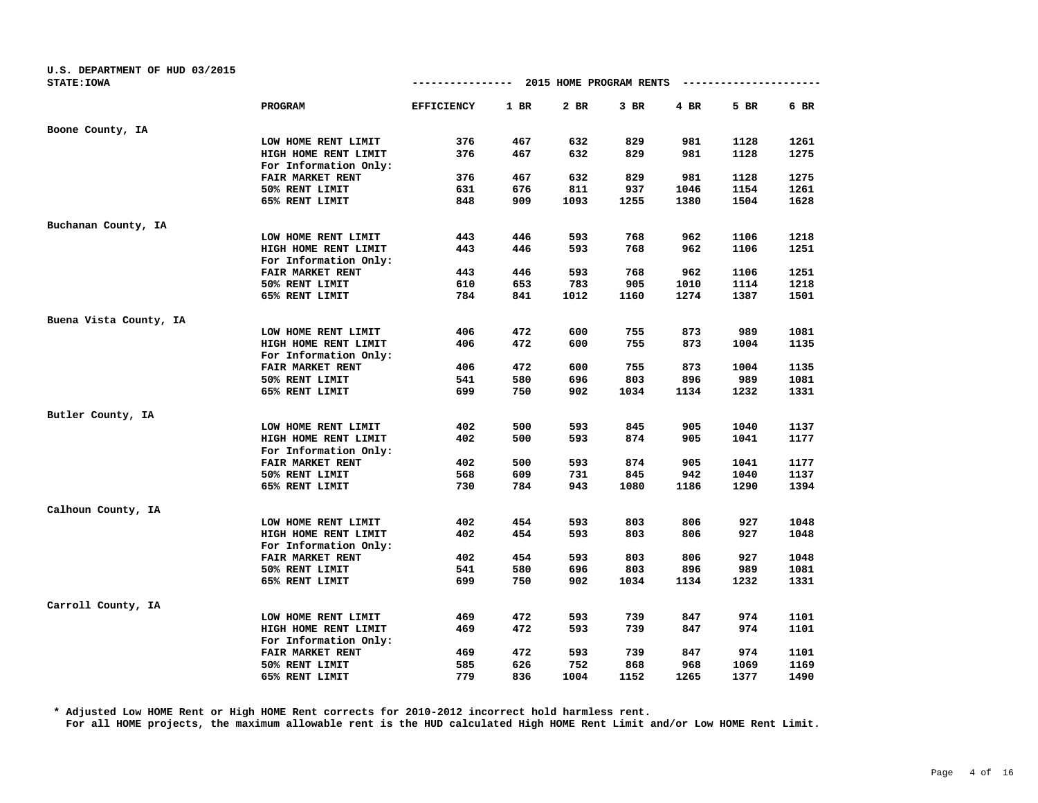| U.S. DEPARTMENT OF HUD 03/2015 |                       |                                        |      |      |        |      |                        |      |
|--------------------------------|-----------------------|----------------------------------------|------|------|--------|------|------------------------|------|
| <b>STATE: IOWA</b>             |                       | -------------- 2015 HOME PROGRAM RENTS |      |      |        |      | ---------------------- |      |
|                                | <b>PROGRAM</b>        | <b>EFFICIENCY</b>                      | 1 BR | 2 BR | $3$ BR | 4 BR | 5 BR                   | 6 BR |
| Boone County, IA               |                       |                                        |      |      |        |      |                        |      |
|                                | LOW HOME RENT LIMIT   | 376                                    | 467  | 632  | 829    | 981  | 1128                   | 1261 |
|                                | HIGH HOME RENT LIMIT  | 376                                    | 467  | 632  | 829    | 981  | 1128                   | 1275 |
|                                | For Information Only: |                                        |      |      |        |      |                        |      |
|                                | FAIR MARKET RENT      | 376                                    | 467  | 632  | 829    | 981  | 1128                   | 1275 |
|                                | 50% RENT LIMIT        | 631                                    | 676  | 811  | 937    | 1046 | 1154                   | 1261 |
|                                | 65% RENT LIMIT        | 848                                    | 909  | 1093 | 1255   | 1380 | 1504                   | 1628 |
| Buchanan County, IA            |                       |                                        |      |      |        |      |                        |      |
|                                | LOW HOME RENT LIMIT   | 443                                    | 446  | 593  | 768    | 962  | 1106                   | 1218 |
|                                | HIGH HOME RENT LIMIT  | 443                                    | 446  | 593  | 768    | 962  | 1106                   | 1251 |
|                                | For Information Only: |                                        |      |      |        |      |                        |      |
|                                | FAIR MARKET RENT      | 443                                    | 446  | 593  | 768    | 962  | 1106                   | 1251 |
|                                | 50% RENT LIMIT        | 610                                    | 653  | 783  | 905    | 1010 | 1114                   | 1218 |
|                                | 65% RENT LIMIT        | 784                                    | 841  | 1012 | 1160   | 1274 | 1387                   | 1501 |
| Buena Vista County, IA         |                       |                                        |      |      |        |      |                        |      |
|                                | LOW HOME RENT LIMIT   | 406                                    | 472  | 600  | 755    | 873  | 989                    | 1081 |
|                                | HIGH HOME RENT LIMIT  | 406                                    | 472  | 600  | 755    | 873  | 1004                   | 1135 |
|                                | For Information Only: |                                        |      |      |        |      |                        |      |
|                                | FAIR MARKET RENT      | 406                                    | 472  | 600  | 755    | 873  | 1004                   | 1135 |
|                                | 50% RENT LIMIT        | 541                                    | 580  | 696  | 803    | 896  | 989                    | 1081 |
|                                | 65% RENT LIMIT        | 699                                    | 750  | 902  | 1034   | 1134 | 1232                   | 1331 |
| Butler County, IA              |                       |                                        |      |      |        |      |                        |      |
|                                | LOW HOME RENT LIMIT   | 402                                    | 500  | 593  | 845    | 905  | 1040                   | 1137 |
|                                | HIGH HOME RENT LIMIT  | 402                                    | 500  | 593  | 874    | 905  | 1041                   | 1177 |
|                                | For Information Only: |                                        |      |      |        |      |                        |      |
|                                | FAIR MARKET RENT      | 402                                    | 500  | 593  | 874    | 905  | 1041                   | 1177 |
|                                | 50% RENT LIMIT        | 568                                    | 609  | 731  | 845    | 942  | 1040                   | 1137 |
|                                | 65% RENT LIMIT        | 730                                    | 784  | 943  | 1080   | 1186 | 1290                   | 1394 |
| Calhoun County, IA             |                       |                                        |      |      |        |      |                        |      |
|                                | LOW HOME RENT LIMIT   | 402                                    | 454  | 593  | 803    | 806  | 927                    | 1048 |
|                                | HIGH HOME RENT LIMIT  | 402                                    | 454  | 593  | 803    | 806  | 927                    | 1048 |
|                                | For Information Only: |                                        |      |      |        |      |                        |      |
|                                | FAIR MARKET RENT      | 402                                    | 454  | 593  | 803    | 806  | 927                    | 1048 |
|                                | 50% RENT LIMIT        | 541                                    | 580  | 696  | 803    | 896  | 989                    | 1081 |
|                                | 65% RENT LIMIT        | 699                                    | 750  | 902  | 1034   | 1134 | 1232                   | 1331 |
| Carroll County, IA             |                       |                                        |      |      |        |      |                        |      |
|                                | LOW HOME RENT LIMIT   | 469                                    | 472  | 593  | 739    | 847  | 974                    | 1101 |
|                                | HIGH HOME RENT LIMIT  | 469                                    | 472  | 593  | 739    | 847  | 974                    | 1101 |
|                                | For Information Only: |                                        |      |      |        |      |                        |      |
|                                | FAIR MARKET RENT      | 469                                    | 472  | 593  | 739    | 847  | 974                    | 1101 |
|                                | 50% RENT LIMIT        | 585                                    | 626  | 752  | 868    | 968  | 1069                   | 1169 |
|                                | 65% RENT LIMIT        | 779                                    | 836  | 1004 | 1152   | 1265 | 1377                   | 1490 |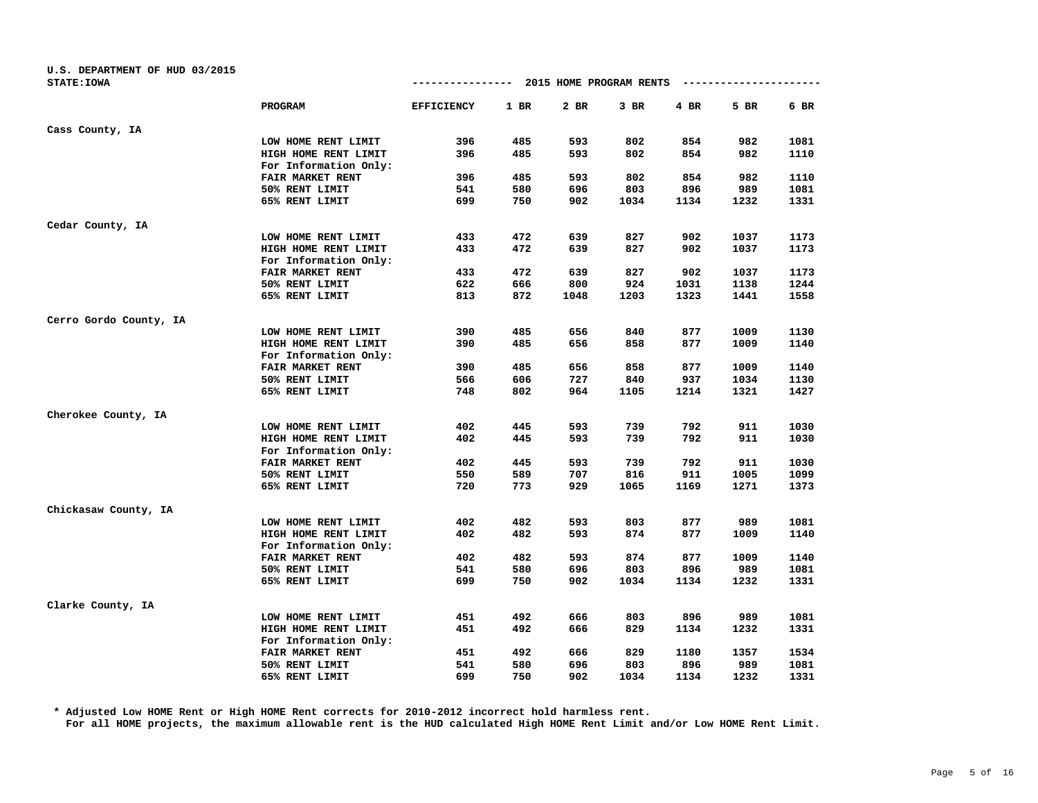| U.S. DEPARTMENT OF HUD 03/2015 |                       |                   |        |                         |        |      |                        |        |
|--------------------------------|-----------------------|-------------------|--------|-------------------------|--------|------|------------------------|--------|
| <b>STATE: IOWA</b>             |                       | ---------------   |        | 2015 HOME PROGRAM RENTS |        |      | ---------------------- |        |
|                                | <b>PROGRAM</b>        | <b>EFFICIENCY</b> | $1$ BR | 2 BR                    | $3$ BR | 4 BR | 5 BR                   | $6$ BR |
| Cass County, IA                |                       |                   |        |                         |        |      |                        |        |
|                                | LOW HOME RENT LIMIT   | 396               | 485    | 593                     | 802    | 854  | 982                    | 1081   |
|                                | HIGH HOME RENT LIMIT  | 396               | 485    | 593                     | 802    | 854  | 982                    | 1110   |
|                                | For Information Only: |                   |        |                         |        |      |                        |        |
|                                | FAIR MARKET RENT      | 396               | 485    | 593                     | 802    | 854  | 982                    | 1110   |
|                                | 50% RENT LIMIT        | 541               | 580    | 696                     | 803    | 896  | 989                    | 1081   |
|                                | 65% RENT LIMIT        | 699               | 750    | 902                     | 1034   | 1134 | 1232                   | 1331   |
| Cedar County, IA               |                       |                   |        |                         |        |      |                        |        |
|                                | LOW HOME RENT LIMIT   | 433               | 472    | 639                     | 827    | 902  | 1037                   | 1173   |
|                                | HIGH HOME RENT LIMIT  | 433               | 472    | 639                     | 827    | 902  | 1037                   | 1173   |
|                                | For Information Only: |                   |        |                         |        |      |                        |        |
|                                | FAIR MARKET RENT      | 433               | 472    | 639                     | 827    | 902  | 1037                   | 1173   |
|                                | 50% RENT LIMIT        | 622               | 666    | 800                     | 924    | 1031 | 1138                   | 1244   |
|                                | 65% RENT LIMIT        | 813               | 872    | 1048                    | 1203   | 1323 | 1441                   | 1558   |
| Cerro Gordo County, IA         |                       |                   |        |                         |        |      |                        |        |
|                                | LOW HOME RENT LIMIT   | 390               | 485    | 656                     | 840    | 877  | 1009                   | 1130   |
|                                | HIGH HOME RENT LIMIT  | 390               | 485    | 656                     | 858    | 877  | 1009                   | 1140   |
|                                | For Information Only: |                   |        |                         |        |      |                        |        |
|                                | FAIR MARKET RENT      | 390               | 485    | 656                     | 858    | 877  | 1009                   | 1140   |
|                                | 50% RENT LIMIT        | 566               | 606    | 727                     | 840    | 937  | 1034                   | 1130   |
|                                | 65% RENT LIMIT        | 748               | 802    | 964                     | 1105   | 1214 | 1321                   | 1427   |
| Cherokee County, IA            |                       |                   |        |                         |        |      |                        |        |
|                                | LOW HOME RENT LIMIT   | 402               | 445    | 593                     | 739    | 792  | 911                    | 1030   |
|                                | HIGH HOME RENT LIMIT  | 402               | 445    | 593                     | 739    | 792  | 911                    | 1030   |
|                                | For Information Only: |                   |        |                         |        |      |                        |        |
|                                | FAIR MARKET RENT      | 402               | 445    | 593                     | 739    | 792  | 911                    | 1030   |
|                                | 50% RENT LIMIT        | 550               | 589    | 707                     | 816    | 911  | 1005                   | 1099   |
|                                | 65% RENT LIMIT        | 720               | 773    | 929                     | 1065   | 1169 | 1271                   | 1373   |
| Chickasaw County, IA           |                       |                   |        |                         |        |      |                        |        |
|                                | LOW HOME RENT LIMIT   | 402               | 482    | 593                     | 803    | 877  | 989                    | 1081   |
|                                | HIGH HOME RENT LIMIT  | 402               | 482    | 593                     | 874    | 877  | 1009                   | 1140   |
|                                | For Information Only: |                   |        |                         |        |      |                        |        |
|                                | FAIR MARKET RENT      | 402               | 482    | 593                     | 874    | 877  | 1009                   | 1140   |
|                                | 50% RENT LIMIT        | 541               | 580    | 696                     | 803    | 896  | 989                    | 1081   |
|                                | 65% RENT LIMIT        | 699               | 750    | 902                     | 1034   | 1134 | 1232                   | 1331   |
| Clarke County, IA              |                       |                   |        |                         |        |      |                        |        |
|                                | LOW HOME RENT LIMIT   | 451               | 492    | 666                     | 803    | 896  | 989                    | 1081   |
|                                | HIGH HOME RENT LIMIT  | 451               | 492    | 666                     | 829    | 1134 | 1232                   | 1331   |
|                                | For Information Only: |                   |        |                         |        |      |                        |        |
|                                | FAIR MARKET RENT      | 451               | 492    | 666                     | 829    | 1180 | 1357                   | 1534   |
|                                | 50% RENT LIMIT        | 541               | 580    | 696                     | 803    | 896  | 989                    | 1081   |
|                                | 65% RENT LIMIT        | 699               | 750    | 902                     | 1034   | 1134 | 1232                   | 1331   |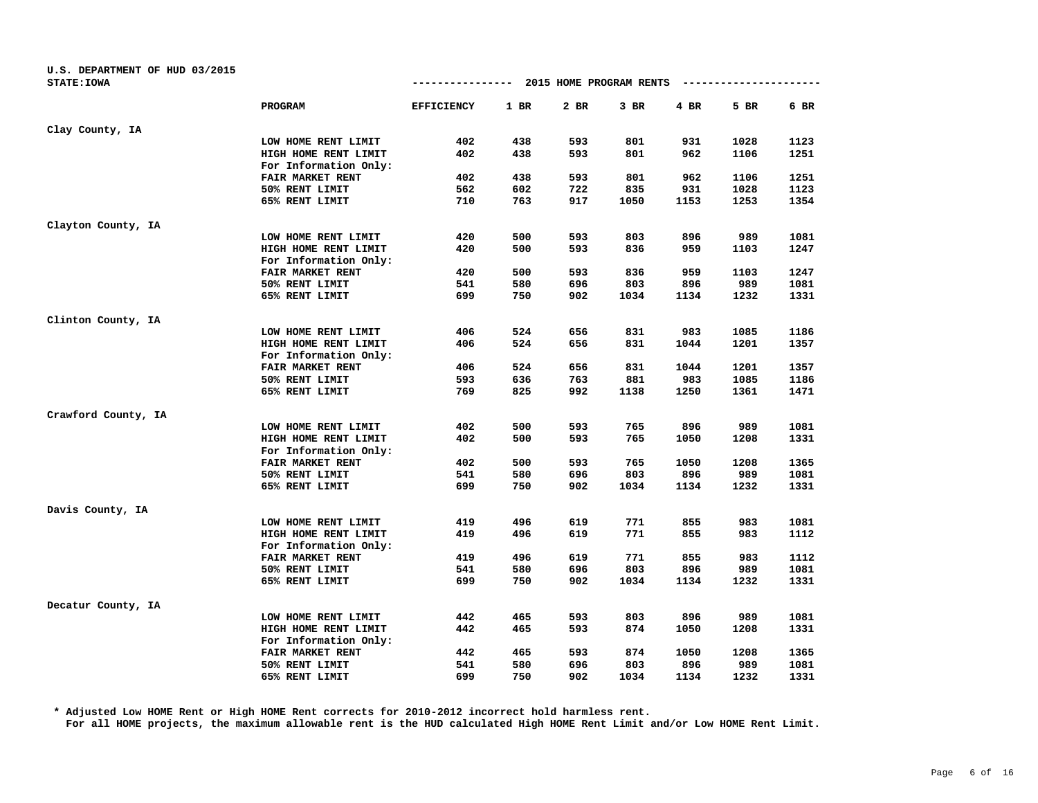| U.S. DEPARTMENT OF HUD 03/2015 |                       |                   |        |                         |        |        |                        |      |
|--------------------------------|-----------------------|-------------------|--------|-------------------------|--------|--------|------------------------|------|
| <b>STATE: IOWA</b>             |                       | --------------    |        | 2015 HOME PROGRAM RENTS |        |        | ---------------------- |      |
|                                | PROGRAM               | <b>EFFICIENCY</b> | $1$ BR | 2 BR                    | $3$ BR | $4$ BR | 5 BR                   | 6 BR |
| Clay County, IA                |                       |                   |        |                         |        |        |                        |      |
|                                | LOW HOME RENT LIMIT   | 402               | 438    | 593                     | 801    | 931    | 1028                   | 1123 |
|                                | HIGH HOME RENT LIMIT  | 402               | 438    | 593                     | 801    | 962    | 1106                   | 1251 |
|                                | For Information Only: |                   |        |                         |        |        |                        |      |
|                                | FAIR MARKET RENT      | 402               | 438    | 593                     | 801    | 962    | 1106                   | 1251 |
|                                | 50% RENT LIMIT        | 562               | 602    | 722                     | 835    | 931    | 1028                   | 1123 |
|                                | 65% RENT LIMIT        | 710               | 763    | 917                     | 1050   | 1153   | 1253                   | 1354 |
| Clayton County, IA             |                       |                   |        |                         |        |        |                        |      |
|                                | LOW HOME RENT LIMIT   | 420               | 500    | 593                     | 803    | 896    | 989                    | 1081 |
|                                | HIGH HOME RENT LIMIT  | 420               | 500    | 593                     | 836    | 959    | 1103                   | 1247 |
|                                | For Information Only: |                   |        |                         |        |        |                        |      |
|                                | FAIR MARKET RENT      | 420               | 500    | 593                     | 836    | 959    | 1103                   | 1247 |
|                                | 50% RENT LIMIT        | 541               | 580    | 696                     | 803    | 896    | 989                    | 1081 |
|                                | 65% RENT LIMIT        | 699               | 750    | 902                     | 1034   | 1134   | 1232                   | 1331 |
| Clinton County, IA             |                       |                   |        |                         |        |        |                        |      |
|                                | LOW HOME RENT LIMIT   | 406               | 524    | 656                     | 831    | 983    | 1085                   | 1186 |
|                                | HIGH HOME RENT LIMIT  | 406               | 524    | 656                     | 831    | 1044   | 1201                   | 1357 |
|                                | For Information Only: |                   |        |                         |        |        |                        |      |
|                                | FAIR MARKET RENT      | 406               | 524    | 656                     | 831    | 1044   | 1201                   | 1357 |
|                                | 50% RENT LIMIT        | 593               | 636    | 763                     | 881    | 983    | 1085                   | 1186 |
|                                | 65% RENT LIMIT        | 769               | 825    | 992                     | 1138   | 1250   | 1361                   | 1471 |
| Crawford County, IA            |                       |                   |        |                         |        |        |                        |      |
|                                | LOW HOME RENT LIMIT   | 402               | 500    | 593                     | 765    | 896    | 989                    | 1081 |
|                                | HIGH HOME RENT LIMIT  | 402               | 500    | 593                     | 765    | 1050   | 1208                   | 1331 |
|                                | For Information Only: |                   |        |                         |        |        |                        |      |
|                                | FAIR MARKET RENT      | 402               | 500    | 593                     | 765    | 1050   | 1208                   | 1365 |
|                                | 50% RENT LIMIT        | 541               | 580    | 696                     | 803    | 896    | 989                    | 1081 |
|                                | 65% RENT LIMIT        | 699               | 750    | 902                     | 1034   | 1134   | 1232                   | 1331 |
| Davis County, IA               |                       |                   |        |                         |        |        |                        |      |
|                                | LOW HOME RENT LIMIT   | 419               | 496    | 619                     | 771    | 855    | 983                    | 1081 |
|                                | HIGH HOME RENT LIMIT  | 419               | 496    | 619                     | 771    | 855    | 983                    | 1112 |
|                                | For Information Only: |                   |        |                         |        |        |                        |      |
|                                | FAIR MARKET RENT      | 419               | 496    | 619                     | 771    | 855    | 983                    | 1112 |
|                                | 50% RENT LIMIT        | 541               | 580    | 696                     | 803    | 896    | 989                    | 1081 |
|                                | 65% RENT LIMIT        | 699               | 750    | 902                     | 1034   | 1134   | 1232                   | 1331 |
| Decatur County, IA             |                       |                   |        |                         |        |        |                        |      |
|                                | LOW HOME RENT LIMIT   | 442               | 465    | 593                     | 803    | 896    | 989                    | 1081 |
|                                | HIGH HOME RENT LIMIT  | 442               | 465    | 593                     | 874    | 1050   | 1208                   | 1331 |
|                                | For Information Only: |                   |        |                         |        |        |                        |      |
|                                | FAIR MARKET RENT      | 442               | 465    | 593                     | 874    | 1050   | 1208                   | 1365 |
|                                | 50% RENT LIMIT        | 541               | 580    | 696                     | 803    | 896    | 989                    | 1081 |
|                                | 65% RENT LIMIT        | 699               | 750    | 902                     | 1034   | 1134   | 1232                   | 1331 |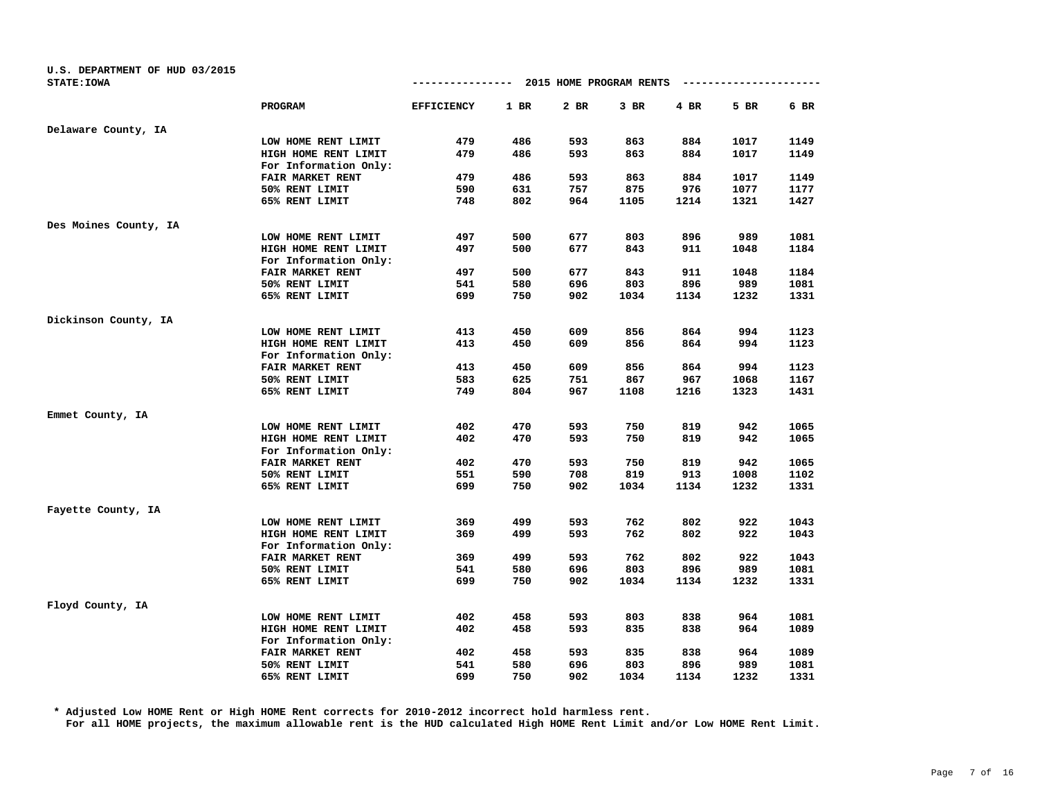| U.S. DEPARTMENT OF HUD 03/2015 |                       |                   |        |                         |        |        |                        |      |
|--------------------------------|-----------------------|-------------------|--------|-------------------------|--------|--------|------------------------|------|
| <b>STATE: IOWA</b>             |                       | ---------------   |        | 2015 HOME PROGRAM RENTS |        |        | ---------------------- |      |
|                                | PROGRAM               | <b>EFFICIENCY</b> | $1$ BR | 2 BR                    | $3$ BR | $4$ BR | 5 BR                   | 6 BR |
| Delaware County, IA            |                       |                   |        |                         |        |        |                        |      |
|                                | LOW HOME RENT LIMIT   | 479               | 486    | 593                     | 863    | 884    | 1017                   | 1149 |
|                                | HIGH HOME RENT LIMIT  | 479               | 486    | 593                     | 863    | 884    | 1017                   | 1149 |
|                                | For Information Only: |                   |        |                         |        |        |                        |      |
|                                | FAIR MARKET RENT      | 479               | 486    | 593                     | 863    | 884    | 1017                   | 1149 |
|                                | 50% RENT LIMIT        | 590               | 631    | 757                     | 875    | 976    | 1077                   | 1177 |
|                                | 65% RENT LIMIT        | 748               | 802    | 964                     | 1105   | 1214   | 1321                   | 1427 |
| Des Moines County, IA          |                       |                   |        |                         |        |        |                        |      |
|                                | LOW HOME RENT LIMIT   | 497               | 500    | 677                     | 803    | 896    | 989                    | 1081 |
|                                | HIGH HOME RENT LIMIT  | 497               | 500    | 677                     | 843    | 911    | 1048                   | 1184 |
|                                | For Information Only: |                   |        |                         |        |        |                        |      |
|                                | FAIR MARKET RENT      | 497               | 500    | 677                     | 843    | 911    | 1048                   | 1184 |
|                                | 50% RENT LIMIT        | 541               | 580    | 696                     | 803    | 896    | 989                    | 1081 |
|                                | 65% RENT LIMIT        | 699               | 750    | 902                     | 1034   | 1134   | 1232                   | 1331 |
| Dickinson County, IA           |                       |                   |        |                         |        |        |                        |      |
|                                | LOW HOME RENT LIMIT   | 413               | 450    | 609                     | 856    | 864    | 994                    | 1123 |
|                                | HIGH HOME RENT LIMIT  | 413               | 450    | 609                     | 856    | 864    | 994                    | 1123 |
|                                | For Information Only: |                   |        |                         |        |        |                        |      |
|                                | FAIR MARKET RENT      | 413               | 450    | 609                     | 856    | 864    | 994                    | 1123 |
|                                | 50% RENT LIMIT        | 583               | 625    | 751                     | 867    | 967    | 1068                   | 1167 |
|                                | 65% RENT LIMIT        | 749               | 804    | 967                     | 1108   | 1216   | 1323                   | 1431 |
| Emmet County, IA               |                       |                   |        |                         |        |        |                        |      |
|                                | LOW HOME RENT LIMIT   | 402               | 470    | 593                     | 750    | 819    | 942                    | 1065 |
|                                | HIGH HOME RENT LIMIT  | 402               | 470    | 593                     | 750    | 819    | 942                    | 1065 |
|                                | For Information Only: |                   |        |                         |        |        |                        |      |
|                                | FAIR MARKET RENT      | 402               | 470    | 593                     | 750    | 819    | 942                    | 1065 |
|                                | 50% RENT LIMIT        | 551               | 590    | 708                     | 819    | 913    | 1008                   | 1102 |
|                                | 65% RENT LIMIT        | 699               | 750    | 902                     | 1034   | 1134   | 1232                   | 1331 |
| Fayette County, IA             |                       |                   |        |                         |        |        |                        |      |
|                                | LOW HOME RENT LIMIT   | 369               | 499    | 593                     | 762    | 802    | 922                    | 1043 |
|                                | HIGH HOME RENT LIMIT  | 369               | 499    | 593                     | 762    | 802    | 922                    | 1043 |
|                                | For Information Only: |                   |        |                         |        |        |                        |      |
|                                | FAIR MARKET RENT      | 369               | 499    | 593                     | 762    | 802    | 922                    | 1043 |
|                                | 50% RENT LIMIT        | 541               | 580    | 696                     | 803    | 896    | 989                    | 1081 |
|                                | 65% RENT LIMIT        | 699               | 750    | 902                     | 1034   | 1134   | 1232                   | 1331 |
| Floyd County, IA               |                       |                   |        |                         |        |        |                        |      |
|                                | LOW HOME RENT LIMIT   | 402               | 458    | 593                     | 803    | 838    | 964                    | 1081 |
|                                | HIGH HOME RENT LIMIT  | 402               | 458    | 593                     | 835    | 838    | 964                    | 1089 |
|                                | For Information Only: |                   |        |                         |        |        |                        |      |
|                                | FAIR MARKET RENT      | 402               | 458    | 593                     | 835    | 838    | 964                    | 1089 |
|                                | 50% RENT LIMIT        | 541               | 580    | 696                     | 803    | 896    | 989                    | 1081 |
|                                | 65% RENT LIMIT        | 699               | 750    | 902                     | 1034   | 1134   | 1232                   | 1331 |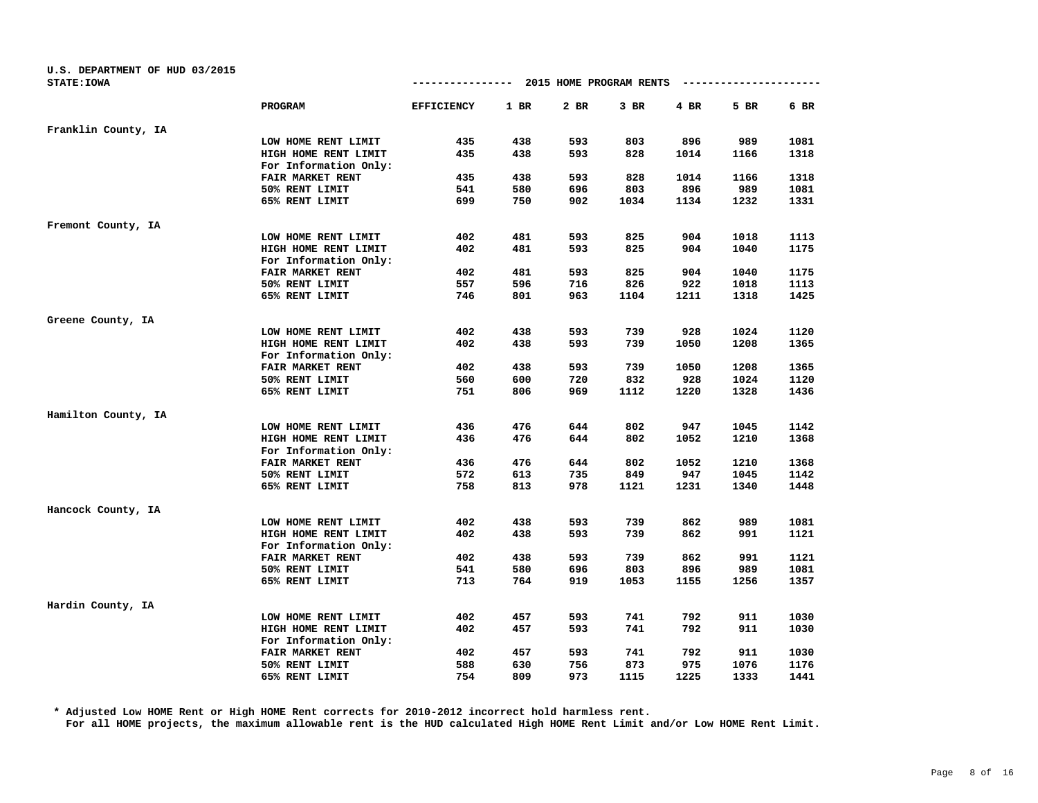| U.S. DEPARTMENT OF HUD 03/2015 |                       |                   |        |                         |        |      |                        |      |
|--------------------------------|-----------------------|-------------------|--------|-------------------------|--------|------|------------------------|------|
| <b>STATE: IOWA</b>             |                       | ----------------  |        | 2015 HOME PROGRAM RENTS |        |      | ---------------------- |      |
|                                | <b>PROGRAM</b>        | <b>EFFICIENCY</b> | $1$ BR | 2 BR                    | $3$ BR | 4 BR | 5 BR                   | 6 BR |
| Franklin County, IA            |                       |                   |        |                         |        |      |                        |      |
|                                | LOW HOME RENT LIMIT   | 435               | 438    | 593                     | 803    | 896  | 989                    | 1081 |
|                                | HIGH HOME RENT LIMIT  | 435               | 438    | 593                     | 828    | 1014 | 1166                   | 1318 |
|                                | For Information Only: |                   |        |                         |        |      |                        |      |
|                                | FAIR MARKET RENT      | 435               | 438    | 593                     | 828    | 1014 | 1166                   | 1318 |
|                                | 50% RENT LIMIT        | 541               | 580    | 696                     | 803    | 896  | 989                    | 1081 |
|                                | 65% RENT LIMIT        | 699               | 750    | 902                     | 1034   | 1134 | 1232                   | 1331 |
| Fremont County, IA             |                       |                   |        |                         |        |      |                        |      |
|                                | LOW HOME RENT LIMIT   | 402               | 481    | 593                     | 825    | 904  | 1018                   | 1113 |
|                                | HIGH HOME RENT LIMIT  | 402               | 481    | 593                     | 825    | 904  | 1040                   | 1175 |
|                                | For Information Only: |                   |        |                         |        |      |                        |      |
|                                | FAIR MARKET RENT      | 402               | 481    | 593                     | 825    | 904  | 1040                   | 1175 |
|                                | 50% RENT LIMIT        | 557               | 596    | 716                     | 826    | 922  | 1018                   | 1113 |
|                                | 65% RENT LIMIT        | 746               | 801    | 963                     | 1104   | 1211 | 1318                   | 1425 |
| Greene County, IA              |                       |                   |        |                         |        |      |                        |      |
|                                | LOW HOME RENT LIMIT   | 402               | 438    | 593                     | 739    | 928  | 1024                   | 1120 |
|                                | HIGH HOME RENT LIMIT  | 402               | 438    | 593                     | 739    | 1050 | 1208                   | 1365 |
|                                | For Information Only: |                   |        |                         |        |      |                        |      |
|                                | FAIR MARKET RENT      | 402               | 438    | 593                     | 739    | 1050 | 1208                   | 1365 |
|                                | 50% RENT LIMIT        | 560               | 600    | 720                     | 832    | 928  | 1024                   | 1120 |
|                                | 65% RENT LIMIT        | 751               | 806    | 969                     | 1112   | 1220 | 1328                   | 1436 |
| Hamilton County, IA            |                       |                   |        |                         |        |      |                        |      |
|                                | LOW HOME RENT LIMIT   | 436               | 476    | 644                     | 802    | 947  | 1045                   | 1142 |
|                                | HIGH HOME RENT LIMIT  | 436               | 476    | 644                     | 802    | 1052 | 1210                   | 1368 |
|                                | For Information Only: |                   |        |                         |        |      |                        |      |
|                                | FAIR MARKET RENT      | 436               | 476    | 644                     | 802    | 1052 | 1210                   | 1368 |
|                                | 50% RENT LIMIT        | 572               | 613    | 735                     | 849    | 947  | 1045                   | 1142 |
|                                | 65% RENT LIMIT        | 758               | 813    | 978                     | 1121   | 1231 | 1340                   | 1448 |
| Hancock County, IA             |                       |                   |        |                         |        |      |                        |      |
|                                | LOW HOME RENT LIMIT   | 402               | 438    | 593                     | 739    | 862  | 989                    | 1081 |
|                                | HIGH HOME RENT LIMIT  | 402               | 438    | 593                     | 739    | 862  | 991                    | 1121 |
|                                | For Information Only: |                   |        |                         |        |      |                        |      |
|                                | FAIR MARKET RENT      | 402               | 438    | 593                     | 739    | 862  | 991                    | 1121 |
|                                | 50% RENT LIMIT        | 541               | 580    | 696                     | 803    | 896  | 989                    | 1081 |
|                                | 65% RENT LIMIT        | 713               | 764    | 919                     | 1053   | 1155 | 1256                   | 1357 |
| Hardin County, IA              |                       |                   |        |                         |        |      |                        |      |
|                                | LOW HOME RENT LIMIT   | 402               | 457    | 593                     | 741    | 792  | 911                    | 1030 |
|                                | HIGH HOME RENT LIMIT  | 402               | 457    | 593                     | 741    | 792  | 911                    | 1030 |
|                                | For Information Only: |                   |        |                         |        |      |                        |      |
|                                | FAIR MARKET RENT      | 402               | 457    | 593                     | 741    | 792  | 911                    | 1030 |
|                                | 50% RENT LIMIT        | 588               | 630    | 756                     | 873    | 975  | 1076                   | 1176 |
|                                | 65% RENT LIMIT        | 754               | 809    | 973                     | 1115   | 1225 | 1333                   | 1441 |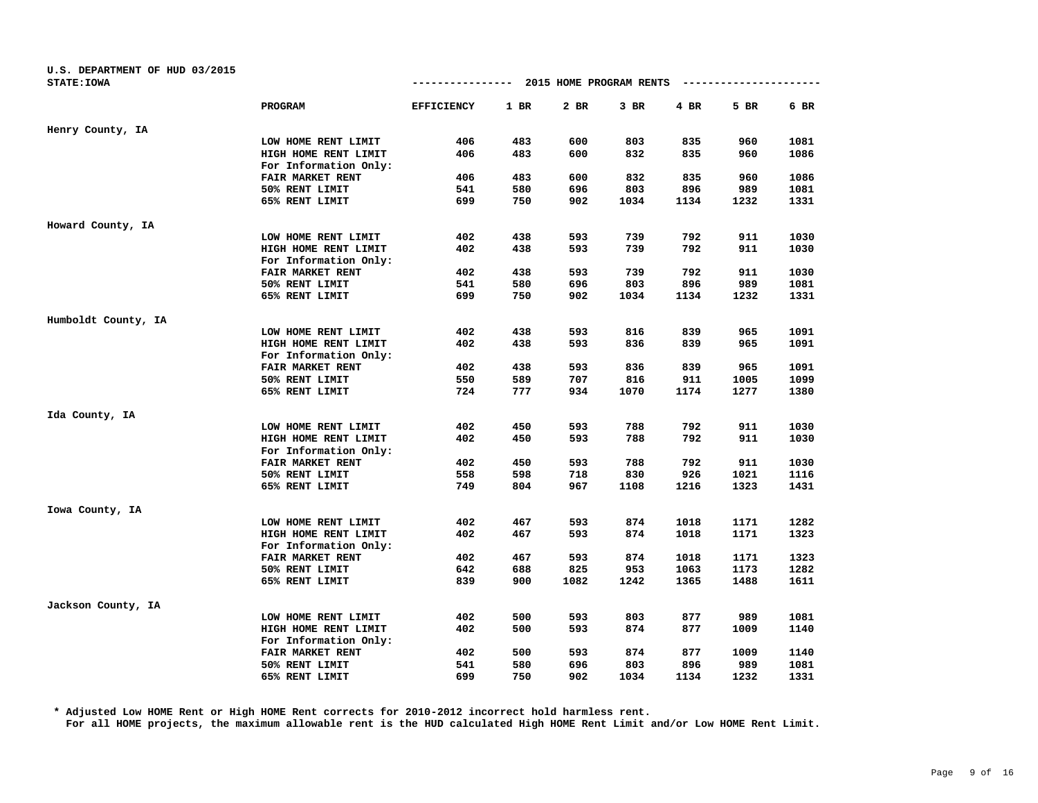| U.S. DEPARTMENT OF HUD 03/2015 |                       |                   |        |                         |        |      |                      |      |
|--------------------------------|-----------------------|-------------------|--------|-------------------------|--------|------|----------------------|------|
| <b>STATE: IOWA</b>             |                       | --------------    |        | 2015 HOME PROGRAM RENTS |        |      | -------------------- |      |
|                                | PROGRAM               | <b>EFFICIENCY</b> | $1$ BR | 2 BR                    | $3$ BR | 4 BR | 5 BR                 | 6 BR |
| Henry County, IA               |                       |                   |        |                         |        |      |                      |      |
|                                | LOW HOME RENT LIMIT   | 406               | 483    | 600                     | 803    | 835  | 960                  | 1081 |
|                                | HIGH HOME RENT LIMIT  | 406               | 483    | 600                     | 832    | 835  | 960                  | 1086 |
|                                | For Information Only: |                   |        |                         |        |      |                      |      |
|                                | FAIR MARKET RENT      | 406               | 483    | 600                     | 832    | 835  | 960                  | 1086 |
|                                | 50% RENT LIMIT        | 541               | 580    | 696                     | 803    | 896  | 989                  | 1081 |
|                                | 65% RENT LIMIT        | 699               | 750    | 902                     | 1034   | 1134 | 1232                 | 1331 |
| Howard County, IA              |                       |                   |        |                         |        |      |                      |      |
|                                | LOW HOME RENT LIMIT   | 402               | 438    | 593                     | 739    | 792  | 911                  | 1030 |
|                                | HIGH HOME RENT LIMIT  | 402               | 438    | 593                     | 739    | 792  | 911                  | 1030 |
|                                | For Information Only: |                   |        |                         |        |      |                      |      |
|                                | FAIR MARKET RENT      | 402               | 438    | 593                     | 739    | 792  | 911                  | 1030 |
|                                | 50% RENT LIMIT        | 541               | 580    | 696                     | 803    | 896  | 989                  | 1081 |
|                                | 65% RENT LIMIT        | 699               | 750    | 902                     | 1034   | 1134 | 1232                 | 1331 |
| Humboldt County, IA            |                       |                   |        |                         |        |      |                      |      |
|                                | LOW HOME RENT LIMIT   | 402               | 438    | 593                     | 816    | 839  | 965                  | 1091 |
|                                | HIGH HOME RENT LIMIT  | 402               | 438    | 593                     | 836    | 839  | 965                  | 1091 |
|                                | For Information Only: |                   |        |                         |        |      |                      |      |
|                                | FAIR MARKET RENT      | 402               | 438    | 593                     | 836    | 839  | 965                  | 1091 |
|                                | 50% RENT LIMIT        | 550               | 589    | 707                     | 816    | 911  | 1005                 | 1099 |
|                                | 65% RENT LIMIT        | 724               | 777    | 934                     | 1070   | 1174 | 1277                 | 1380 |
| Ida County, IA                 |                       |                   |        |                         |        |      |                      |      |
|                                | LOW HOME RENT LIMIT   | 402               | 450    | 593                     | 788    | 792  | 911                  | 1030 |
|                                | HIGH HOME RENT LIMIT  | 402               | 450    | 593                     | 788    | 792  | 911                  | 1030 |
|                                | For Information Only: |                   |        |                         |        |      |                      |      |
|                                | FAIR MARKET RENT      | 402               | 450    | 593                     | 788    | 792  | 911                  | 1030 |
|                                | 50% RENT LIMIT        | 558               | 598    | 718                     | 830    | 926  | 1021                 | 1116 |
|                                | 65% RENT LIMIT        | 749               | 804    | 967                     | 1108   | 1216 | 1323                 | 1431 |
| Iowa County, IA                |                       |                   |        |                         |        |      |                      |      |
|                                | LOW HOME RENT LIMIT   | 402               | 467    | 593                     | 874    | 1018 | 1171                 | 1282 |
|                                | HIGH HOME RENT LIMIT  | 402               | 467    | 593                     | 874    | 1018 | 1171                 | 1323 |
|                                | For Information Only: |                   |        |                         |        |      |                      |      |
|                                | FAIR MARKET RENT      | 402               | 467    | 593                     | 874    | 1018 | 1171                 | 1323 |
|                                | 50% RENT LIMIT        | 642               | 688    | 825                     | 953    | 1063 | 1173                 | 1282 |
|                                | 65% RENT LIMIT        | 839               | 900    | 1082                    | 1242   | 1365 | 1488                 | 1611 |
| Jackson County, IA             |                       |                   |        |                         |        |      |                      |      |
|                                | LOW HOME RENT LIMIT   | 402               | 500    | 593                     | 803    | 877  | 989                  | 1081 |
|                                | HIGH HOME RENT LIMIT  | 402               | 500    | 593                     | 874    | 877  | 1009                 | 1140 |
|                                | For Information Only: |                   |        |                         |        |      |                      |      |
|                                | FAIR MARKET RENT      | 402               | 500    | 593                     | 874    | 877  | 1009                 | 1140 |
|                                | 50% RENT LIMIT        | 541               | 580    | 696                     | 803    | 896  | 989                  | 1081 |
|                                | 65% RENT LIMIT        | 699               | 750    | 902                     | 1034   | 1134 | 1232                 | 1331 |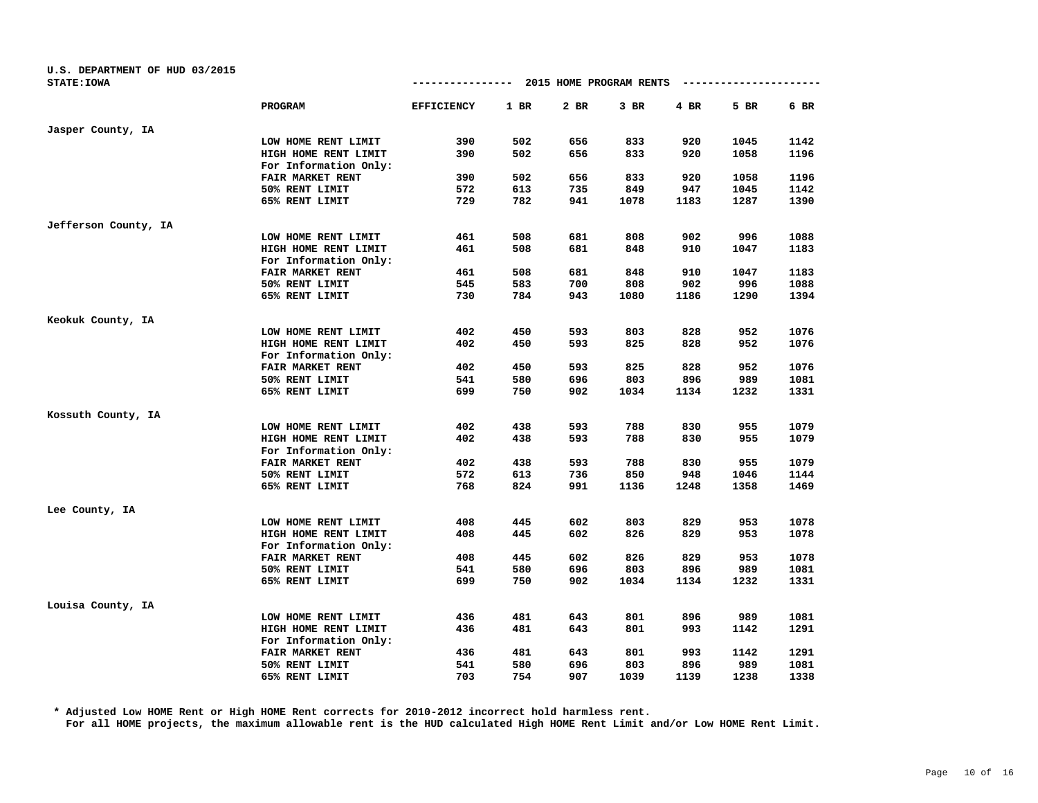| U.S. DEPARTMENT OF HUD 03/2015 |                       |                   |        |                         |        |      |      |      |
|--------------------------------|-----------------------|-------------------|--------|-------------------------|--------|------|------|------|
| <b>STATE: IOWA</b>             |                       | -------------     |        | 2015 HOME PROGRAM RENTS |        |      |      |      |
|                                | PROGRAM               | <b>EFFICIENCY</b> | $1$ BR | 2 BR                    | $3$ BR | 4 BR | 5 BR | 6 BR |
| Jasper County, IA              |                       |                   |        |                         |        |      |      |      |
|                                | LOW HOME RENT LIMIT   | 390               | 502    | 656                     | 833    | 920  | 1045 | 1142 |
|                                | HIGH HOME RENT LIMIT  | 390               | 502    | 656                     | 833    | 920  | 1058 | 1196 |
|                                | For Information Only: |                   |        |                         |        |      |      |      |
|                                | FAIR MARKET RENT      | 390               | 502    | 656                     | 833    | 920  | 1058 | 1196 |
|                                | 50% RENT LIMIT        | 572               | 613    | 735                     | 849    | 947  | 1045 | 1142 |
|                                | 65% RENT LIMIT        | 729               | 782    | 941                     | 1078   | 1183 | 1287 | 1390 |
| Jefferson County, IA           |                       |                   |        |                         |        |      |      |      |
|                                | LOW HOME RENT LIMIT   | 461               | 508    | 681                     | 808    | 902  | 996  | 1088 |
|                                | HIGH HOME RENT LIMIT  | 461               | 508    | 681                     | 848    | 910  | 1047 | 1183 |
|                                | For Information Only: |                   |        |                         |        |      |      |      |
|                                | FAIR MARKET RENT      | 461               | 508    | 681                     | 848    | 910  | 1047 | 1183 |
|                                | 50% RENT LIMIT        | 545               | 583    | 700                     | 808    | 902  | 996  | 1088 |
|                                | 65% RENT LIMIT        | 730               | 784    | 943                     | 1080   | 1186 | 1290 | 1394 |
| Keokuk County, IA              |                       |                   |        |                         |        |      |      |      |
|                                | LOW HOME RENT LIMIT   | 402               | 450    | 593                     | 803    | 828  | 952  | 1076 |
|                                | HIGH HOME RENT LIMIT  | 402               | 450    | 593                     | 825    | 828  | 952  | 1076 |
|                                | For Information Only: |                   |        |                         |        |      |      |      |
|                                | FAIR MARKET RENT      | 402               | 450    | 593                     | 825    | 828  | 952  | 1076 |
|                                | 50% RENT LIMIT        | 541               | 580    | 696                     | 803    | 896  | 989  | 1081 |
|                                | 65% RENT LIMIT        | 699               | 750    | 902                     | 1034   | 1134 | 1232 | 1331 |
| Kossuth County, IA             |                       |                   |        |                         |        |      |      |      |
|                                | LOW HOME RENT LIMIT   | 402               | 438    | 593                     | 788    | 830  | 955  | 1079 |
|                                | HIGH HOME RENT LIMIT  | 402               | 438    | 593                     | 788    | 830  | 955  | 1079 |
|                                | For Information Only: |                   |        |                         |        |      |      |      |
|                                | FAIR MARKET RENT      | 402               | 438    | 593                     | 788    | 830  | 955  | 1079 |
|                                | 50% RENT LIMIT        | 572               | 613    | 736                     | 850    | 948  | 1046 | 1144 |
|                                | 65% RENT LIMIT        | 768               | 824    | 991                     | 1136   | 1248 | 1358 | 1469 |
| Lee County, IA                 |                       |                   |        |                         |        |      |      |      |
|                                | LOW HOME RENT LIMIT   | 408               | 445    | 602                     | 803    | 829  | 953  | 1078 |
|                                | HIGH HOME RENT LIMIT  | 408               | 445    | 602                     | 826    | 829  | 953  | 1078 |
|                                | For Information Only: |                   |        |                         |        |      |      |      |
|                                | FAIR MARKET RENT      | 408               | 445    | 602                     | 826    | 829  | 953  | 1078 |
|                                | 50% RENT LIMIT        | 541               | 580    | 696                     | 803    | 896  | 989  | 1081 |
|                                | 65% RENT LIMIT        | 699               | 750    | 902                     | 1034   | 1134 | 1232 | 1331 |
| Louisa County, IA              |                       |                   |        |                         |        |      |      |      |
|                                | LOW HOME RENT LIMIT   | 436               | 481    | 643                     | 801    | 896  | 989  | 1081 |
|                                | HIGH HOME RENT LIMIT  | 436               | 481    | 643                     | 801    | 993  | 1142 | 1291 |
|                                | For Information Only: |                   |        |                         |        |      |      |      |
|                                | FAIR MARKET RENT      | 436               | 481    | 643                     | 801    | 993  | 1142 | 1291 |
|                                | 50% RENT LIMIT        | 541               | 580    | 696                     | 803    | 896  | 989  | 1081 |
|                                | 65% RENT LIMIT        | 703               | 754    | 907                     | 1039   | 1139 | 1238 | 1338 |
|                                |                       |                   |        |                         |        |      |      |      |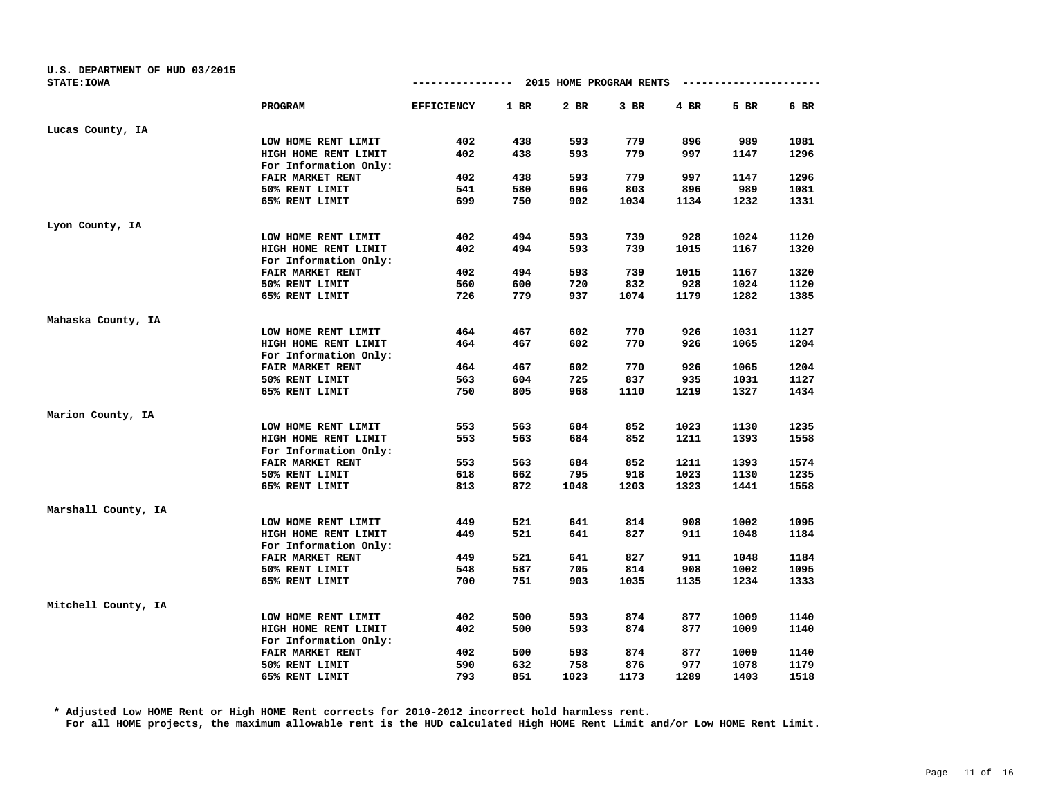| U.S. DEPARTMENT OF HUD 03/2015 |                         |                                        |        |      |        |      |      |      |
|--------------------------------|-------------------------|----------------------------------------|--------|------|--------|------|------|------|
| <b>STATE: IOWA</b>             |                         | -------------- 2015 HOME PROGRAM RENTS |        |      |        |      |      |      |
|                                | <b>PROGRAM</b>          | <b>EFFICIENCY</b>                      | $1$ BR | 2 BR | $3$ BR | 4 BR | 5 BR | 6 BR |
| Lucas County, IA               |                         |                                        |        |      |        |      |      |      |
|                                | LOW HOME RENT LIMIT     | 402                                    | 438    | 593  | 779    | 896  | 989  | 1081 |
|                                | HIGH HOME RENT LIMIT    | 402                                    | 438    | 593  | 779    | 997  | 1147 | 1296 |
|                                | For Information Only:   |                                        |        |      |        |      |      |      |
|                                | FAIR MARKET RENT        | 402                                    | 438    | 593  | 779    | 997  | 1147 | 1296 |
|                                | 50% RENT LIMIT          | 541                                    | 580    | 696  | 803    | 896  | 989  | 1081 |
|                                | 65% RENT LIMIT          | 699                                    | 750    | 902  | 1034   | 1134 | 1232 | 1331 |
| Lyon County, IA                |                         |                                        |        |      |        |      |      |      |
|                                | LOW HOME RENT LIMIT     | 402                                    | 494    | 593  | 739    | 928  | 1024 | 1120 |
|                                | HIGH HOME RENT LIMIT    | 402                                    | 494    | 593  | 739    | 1015 | 1167 | 1320 |
|                                | For Information Only:   |                                        |        |      |        |      |      |      |
|                                | FAIR MARKET RENT        | 402                                    | 494    | 593  | 739    | 1015 | 1167 | 1320 |
|                                | 50% RENT LIMIT          | 560                                    | 600    | 720  | 832    | 928  | 1024 | 1120 |
|                                | 65% RENT LIMIT          | 726                                    | 779    | 937  | 1074   | 1179 | 1282 | 1385 |
| Mahaska County, IA             |                         |                                        |        |      |        |      |      |      |
|                                | LOW HOME RENT LIMIT     | 464                                    | 467    | 602  | 770    | 926  | 1031 | 1127 |
|                                | HIGH HOME RENT LIMIT    | 464                                    | 467    | 602  | 770    | 926  | 1065 | 1204 |
|                                | For Information Only:   |                                        |        |      |        |      |      |      |
|                                | FAIR MARKET RENT        | 464                                    | 467    | 602  | 770    | 926  | 1065 | 1204 |
|                                | 50% RENT LIMIT          | 563                                    | 604    | 725  | 837    | 935  | 1031 | 1127 |
|                                | 65% RENT LIMIT          | 750                                    | 805    | 968  | 1110   | 1219 | 1327 | 1434 |
| Marion County, IA              |                         |                                        |        |      |        |      |      |      |
|                                | LOW HOME RENT LIMIT     | 553                                    | 563    | 684  | 852    | 1023 | 1130 | 1235 |
|                                | HIGH HOME RENT LIMIT    | 553                                    | 563    | 684  | 852    | 1211 | 1393 | 1558 |
|                                | For Information Only:   |                                        |        |      |        |      |      |      |
|                                | <b>FAIR MARKET RENT</b> | 553                                    | 563    | 684  | 852    | 1211 | 1393 | 1574 |
|                                | 50% RENT LIMIT          | 618                                    | 662    | 795  | 918    | 1023 | 1130 | 1235 |
|                                | 65% RENT LIMIT          | 813                                    | 872    | 1048 | 1203   | 1323 | 1441 | 1558 |
| Marshall County, IA            |                         |                                        |        |      |        |      |      |      |
|                                | LOW HOME RENT LIMIT     | 449                                    | 521    | 641  | 814    | 908  | 1002 | 1095 |
|                                | HIGH HOME RENT LIMIT    | 449                                    | 521    | 641  | 827    | 911  | 1048 | 1184 |
|                                | For Information Only:   |                                        |        |      |        |      |      |      |
|                                | FAIR MARKET RENT        | 449                                    | 521    | 641  | 827    | 911  | 1048 | 1184 |
|                                | 50% RENT LIMIT          | 548                                    | 587    | 705  | 814    | 908  | 1002 | 1095 |
|                                | 65% RENT LIMIT          | 700                                    | 751    | 903  | 1035   | 1135 | 1234 | 1333 |
| Mitchell County, IA            |                         |                                        |        |      |        |      |      |      |
|                                | LOW HOME RENT LIMIT     | 402                                    | 500    | 593  | 874    | 877  | 1009 | 1140 |
|                                | HIGH HOME RENT LIMIT    | 402                                    | 500    | 593  | 874    | 877  | 1009 | 1140 |
|                                | For Information Only:   |                                        |        |      |        |      |      |      |
|                                | FAIR MARKET RENT        | 402                                    | 500    | 593  | 874    | 877  | 1009 | 1140 |
|                                | 50% RENT LIMIT          | 590                                    | 632    | 758  | 876    | 977  | 1078 | 1179 |
|                                | 65% RENT LIMIT          | 793                                    | 851    | 1023 | 1173   | 1289 | 1403 | 1518 |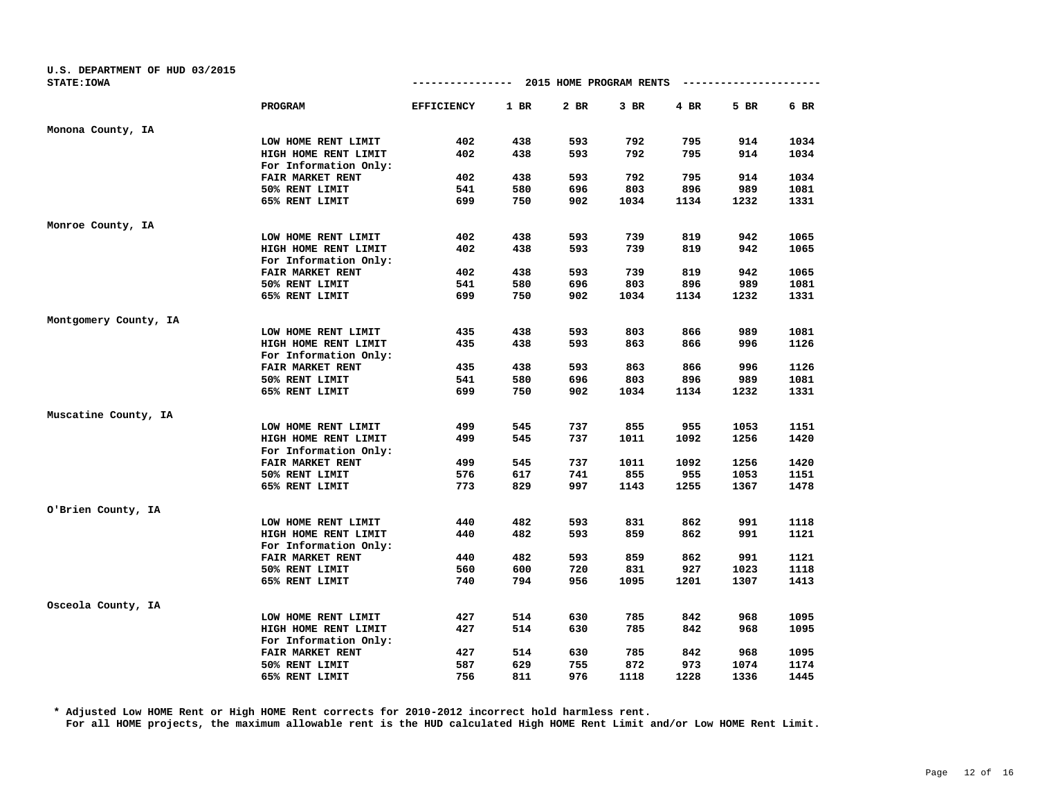| U.S. DEPARTMENT OF HUD 03/2015 |                       |                                       |      |      |        |      |                      |      |
|--------------------------------|-----------------------|---------------------------------------|------|------|--------|------|----------------------|------|
| <b>STATE: IOWA</b>             |                       | ------------- 2015 HOME PROGRAM RENTS |      |      |        |      | -------------------- |      |
|                                | <b>PROGRAM</b>        | <b>EFFICIENCY</b>                     | 1 BR | 2 BR | $3$ BR | 4 BR | 5 BR                 | 6 BR |
| Monona County, IA              |                       |                                       |      |      |        |      |                      |      |
|                                | LOW HOME RENT LIMIT   | 402                                   | 438  | 593  | 792    | 795  | 914                  | 1034 |
|                                | HIGH HOME RENT LIMIT  | 402                                   | 438  | 593  | 792    | 795  | 914                  | 1034 |
|                                | For Information Only: |                                       |      |      |        |      |                      |      |
|                                | FAIR MARKET RENT      | 402                                   | 438  | 593  | 792    | 795  | 914                  | 1034 |
|                                | 50% RENT LIMIT        | 541                                   | 580  | 696  | 803    | 896  | 989                  | 1081 |
|                                | 65% RENT LIMIT        | 699                                   | 750  | 902  | 1034   | 1134 | 1232                 | 1331 |
| Monroe County, IA              |                       |                                       |      |      |        |      |                      |      |
|                                | LOW HOME RENT LIMIT   | 402                                   | 438  | 593  | 739    | 819  | 942                  | 1065 |
|                                | HIGH HOME RENT LIMIT  | 402                                   | 438  | 593  | 739    | 819  | 942                  | 1065 |
|                                | For Information Only: |                                       |      |      |        |      |                      |      |
|                                | FAIR MARKET RENT      | 402                                   | 438  | 593  | 739    | 819  | 942                  | 1065 |
|                                | 50% RENT LIMIT        | 541                                   | 580  | 696  | 803    | 896  | 989                  | 1081 |
|                                | 65% RENT LIMIT        | 699                                   | 750  | 902  | 1034   | 1134 | 1232                 | 1331 |
| Montgomery County, IA          |                       |                                       |      |      |        |      |                      |      |
|                                | LOW HOME RENT LIMIT   | 435                                   | 438  | 593  | 803    | 866  | 989                  | 1081 |
|                                | HIGH HOME RENT LIMIT  | 435                                   | 438  | 593  | 863    | 866  | 996                  | 1126 |
|                                | For Information Only: |                                       |      |      |        |      |                      |      |
|                                | FAIR MARKET RENT      | 435                                   | 438  | 593  | 863    | 866  | 996                  | 1126 |
|                                | 50% RENT LIMIT        | 541                                   | 580  | 696  | 803    | 896  | 989                  | 1081 |
|                                | 65% RENT LIMIT        | 699                                   | 750  | 902  | 1034   | 1134 | 1232                 | 1331 |
| Muscatine County, IA           |                       |                                       |      |      |        |      |                      |      |
|                                | LOW HOME RENT LIMIT   | 499                                   | 545  | 737  | 855    | 955  | 1053                 | 1151 |
|                                | HIGH HOME RENT LIMIT  | 499                                   | 545  | 737  | 1011   | 1092 | 1256                 | 1420 |
|                                | For Information Only: |                                       |      |      |        |      |                      |      |
|                                | FAIR MARKET RENT      | 499                                   | 545  | 737  | 1011   | 1092 | 1256                 | 1420 |
|                                | 50% RENT LIMIT        | 576                                   | 617  | 741  | 855    | 955  | 1053                 | 1151 |
|                                | 65% RENT LIMIT        | 773                                   | 829  | 997  | 1143   | 1255 | 1367                 | 1478 |
| O'Brien County, IA             |                       |                                       |      |      |        |      |                      |      |
|                                | LOW HOME RENT LIMIT   | 440                                   | 482  | 593  | 831    | 862  | 991                  | 1118 |
|                                | HIGH HOME RENT LIMIT  | 440                                   | 482  | 593  | 859    | 862  | 991                  | 1121 |
|                                | For Information Only: |                                       |      |      |        |      |                      |      |
|                                | FAIR MARKET RENT      | 440                                   | 482  | 593  | 859    | 862  | 991                  | 1121 |
|                                | 50% RENT LIMIT        | 560                                   | 600  | 720  | 831    | 927  | 1023                 | 1118 |
|                                | 65% RENT LIMIT        | 740                                   | 794  | 956  | 1095   | 1201 | 1307                 | 1413 |
| Osceola County, IA             |                       |                                       |      |      |        |      |                      |      |
|                                | LOW HOME RENT LIMIT   | 427                                   | 514  | 630  | 785    | 842  | 968                  | 1095 |
|                                | HIGH HOME RENT LIMIT  | 427                                   | 514  | 630  | 785    | 842  | 968                  | 1095 |
|                                | For Information Only: |                                       |      |      |        |      |                      |      |
|                                | FAIR MARKET RENT      | 427                                   | 514  | 630  | 785    | 842  | 968                  | 1095 |
|                                | 50% RENT LIMIT        | 587                                   | 629  | 755  | 872    | 973  | 1074                 | 1174 |
|                                | 65% RENT LIMIT        | 756                                   | 811  | 976  | 1118   | 1228 | 1336                 | 1445 |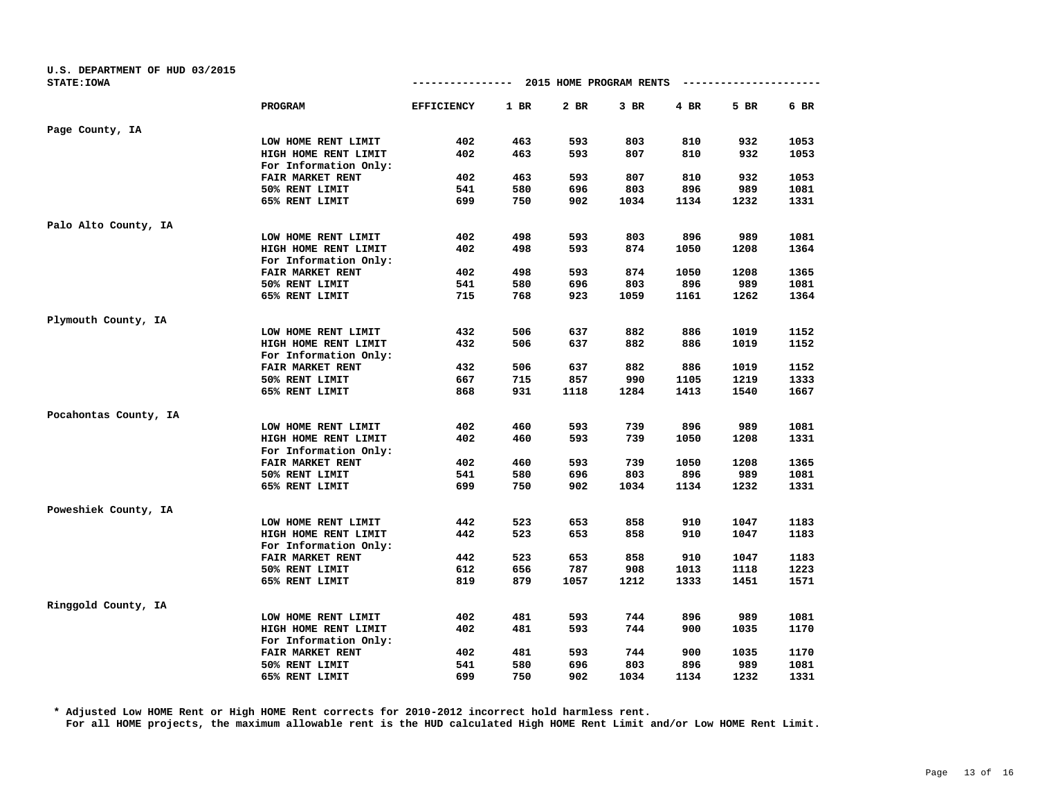| U.S. DEPARTMENT OF HUD 03/2015 |                       |                   |        |                         |      |      |      |      |
|--------------------------------|-----------------------|-------------------|--------|-------------------------|------|------|------|------|
| <b>STATE: IOWA</b>             |                       | -------------     |        | 2015 HOME PROGRAM RENTS |      |      |      |      |
|                                | PROGRAM               | <b>EFFICIENCY</b> | $1$ BR | 2 BR                    | 3 BR | 4 BR | 5 BR | 6 BR |
| Page County, IA                |                       |                   |        |                         |      |      |      |      |
|                                | LOW HOME RENT LIMIT   | 402               | 463    | 593                     | 803  | 810  | 932  | 1053 |
|                                | HIGH HOME RENT LIMIT  | 402               | 463    | 593                     | 807  | 810  | 932  | 1053 |
|                                | For Information Only: |                   |        |                         |      |      |      |      |
|                                | FAIR MARKET RENT      | 402               | 463    | 593                     | 807  | 810  | 932  | 1053 |
|                                | 50% RENT LIMIT        | 541               | 580    | 696                     | 803  | 896  | 989  | 1081 |
|                                | 65% RENT LIMIT        | 699               | 750    | 902                     | 1034 | 1134 | 1232 | 1331 |
| Palo Alto County, IA           |                       |                   |        |                         |      |      |      |      |
|                                | LOW HOME RENT LIMIT   | 402               | 498    | 593                     | 803  | 896  | 989  | 1081 |
|                                | HIGH HOME RENT LIMIT  | 402               | 498    | 593                     | 874  | 1050 | 1208 | 1364 |
|                                | For Information Only: |                   |        |                         |      |      |      |      |
|                                | FAIR MARKET RENT      | 402               | 498    | 593                     | 874  | 1050 | 1208 | 1365 |
|                                | 50% RENT LIMIT        | 541               | 580    | 696                     | 803  | 896  | 989  | 1081 |
|                                | 65% RENT LIMIT        | 715               | 768    | 923                     | 1059 | 1161 | 1262 | 1364 |
| Plymouth County, IA            |                       |                   |        |                         |      |      |      |      |
|                                | LOW HOME RENT LIMIT   | 432               | 506    | 637                     | 882  | 886  | 1019 | 1152 |
|                                | HIGH HOME RENT LIMIT  | 432               | 506    | 637                     | 882  | 886  | 1019 | 1152 |
|                                | For Information Only: |                   |        |                         |      |      |      |      |
|                                | FAIR MARKET RENT      | 432               | 506    | 637                     | 882  | 886  | 1019 | 1152 |
|                                | 50% RENT LIMIT        | 667               | 715    | 857                     | 990  | 1105 | 1219 | 1333 |
|                                | 65% RENT LIMIT        | 868               | 931    | 1118                    | 1284 | 1413 | 1540 | 1667 |
| Pocahontas County, IA          |                       |                   |        |                         |      |      |      |      |
|                                | LOW HOME RENT LIMIT   | 402               | 460    | 593                     | 739  | 896  | 989  | 1081 |
|                                | HIGH HOME RENT LIMIT  | 402               | 460    | 593                     | 739  | 1050 | 1208 | 1331 |
|                                | For Information Only: |                   |        |                         |      |      |      |      |
|                                | FAIR MARKET RENT      | 402               | 460    | 593                     | 739  | 1050 | 1208 | 1365 |
|                                | 50% RENT LIMIT        | 541               | 580    | 696                     | 803  | 896  | 989  | 1081 |
|                                | 65% RENT LIMIT        | 699               | 750    | 902                     | 1034 | 1134 | 1232 | 1331 |
| Poweshiek County, IA           |                       |                   |        |                         |      |      |      |      |
|                                | LOW HOME RENT LIMIT   | 442               | 523    | 653                     | 858  | 910  | 1047 | 1183 |
|                                | HIGH HOME RENT LIMIT  | 442               | 523    | 653                     | 858  | 910  | 1047 | 1183 |
|                                | For Information Only: |                   |        |                         |      |      |      |      |
|                                | FAIR MARKET RENT      | 442               | 523    | 653                     | 858  | 910  | 1047 | 1183 |
|                                | 50% RENT LIMIT        | 612               | 656    | 787                     | 908  | 1013 | 1118 | 1223 |
|                                | 65% RENT LIMIT        | 819               | 879    | 1057                    | 1212 | 1333 | 1451 | 1571 |
| Ringgold County, IA            |                       |                   |        |                         |      |      |      |      |
|                                | LOW HOME RENT LIMIT   | 402               | 481    | 593                     | 744  | 896  | 989  | 1081 |
|                                | HIGH HOME RENT LIMIT  | 402               | 481    | 593                     | 744  | 900  | 1035 | 1170 |
|                                | For Information Only: |                   |        |                         |      |      |      |      |
|                                | FAIR MARKET RENT      | 402               | 481    | 593                     | 744  | 900  | 1035 | 1170 |
|                                | 50% RENT LIMIT        | 541               | 580    | 696                     | 803  | 896  | 989  | 1081 |
|                                | 65% RENT LIMIT        | 699               | 750    | 902                     | 1034 | 1134 | 1232 | 1331 |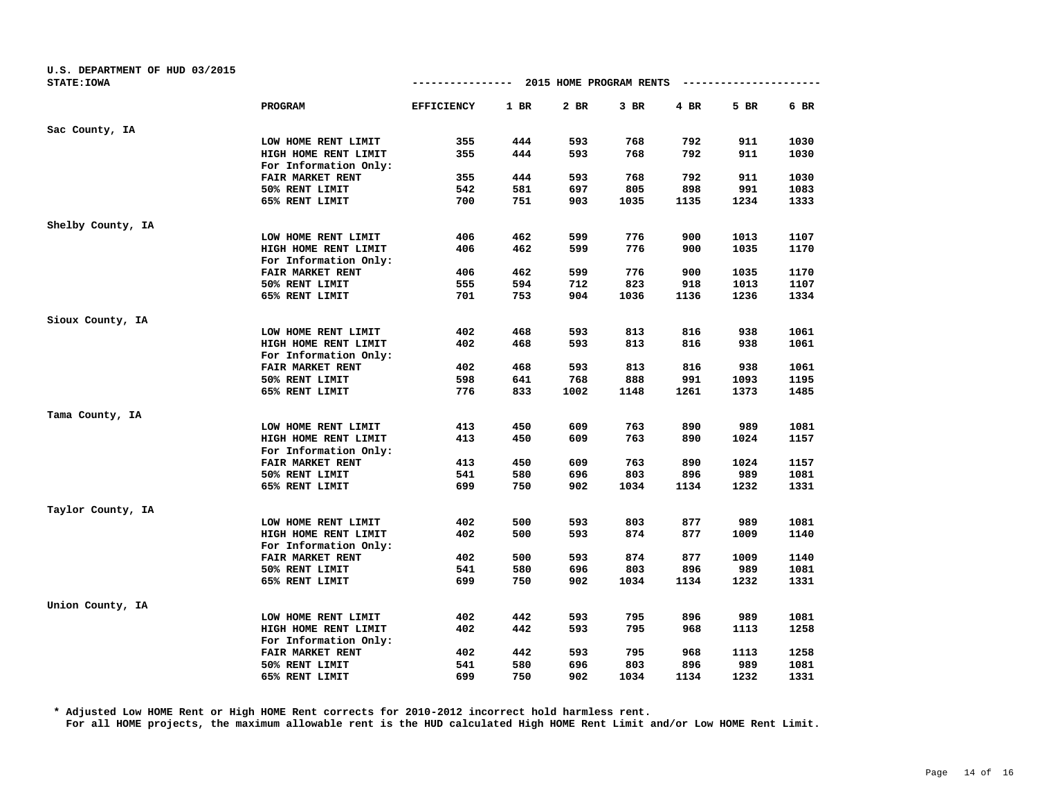| U.S. DEPARTMENT OF HUD 03/2015 |                       |                   |      |                         |        |        |                        |      |
|--------------------------------|-----------------------|-------------------|------|-------------------------|--------|--------|------------------------|------|
| <b>STATE: IOWA</b>             |                       | --------------    |      | 2015 HOME PROGRAM RENTS |        |        | ---------------------- |      |
|                                | <b>PROGRAM</b>        | <b>EFFICIENCY</b> | 1 BR | 2 BR                    | $3$ BR | $4$ BR | 5 BR                   | 6 BR |
| Sac County, IA                 |                       |                   |      |                         |        |        |                        |      |
|                                | LOW HOME RENT LIMIT   | 355               | 444  | 593                     | 768    | 792    | 911                    | 1030 |
|                                | HIGH HOME RENT LIMIT  | 355               | 444  | 593                     | 768    | 792    | 911                    | 1030 |
|                                | For Information Only: |                   |      |                         |        |        |                        |      |
|                                | FAIR MARKET RENT      | 355               | 444  | 593                     | 768    | 792    | 911                    | 1030 |
|                                | 50% RENT LIMIT        | 542               | 581  | 697                     | 805    | 898    | 991                    | 1083 |
|                                | 65% RENT LIMIT        | 700               | 751  | 903                     | 1035   | 1135   | 1234                   | 1333 |
| Shelby County, IA              |                       |                   |      |                         |        |        |                        |      |
|                                | LOW HOME RENT LIMIT   | 406               | 462  | 599                     | 776    | 900    | 1013                   | 1107 |
|                                | HIGH HOME RENT LIMIT  | 406               | 462  | 599                     | 776    | 900    | 1035                   | 1170 |
|                                | For Information Only: |                   |      |                         |        |        |                        |      |
|                                | FAIR MARKET RENT      | 406               | 462  | 599                     | 776    | 900    | 1035                   | 1170 |
|                                | 50% RENT LIMIT        | 555               | 594  | 712                     | 823    | 918    | 1013                   | 1107 |
|                                | 65% RENT LIMIT        | 701               | 753  | 904                     | 1036   | 1136   | 1236                   | 1334 |
| Sioux County, IA               |                       |                   |      |                         |        |        |                        |      |
|                                | LOW HOME RENT LIMIT   | 402               | 468  | 593                     | 813    | 816    | 938                    | 1061 |
|                                | HIGH HOME RENT LIMIT  | 402               | 468  | 593                     | 813    | 816    | 938                    | 1061 |
|                                | For Information Only: |                   |      |                         |        |        |                        |      |
|                                | FAIR MARKET RENT      | 402               | 468  | 593                     | 813    | 816    | 938                    | 1061 |
|                                | 50% RENT LIMIT        | 598               | 641  | 768                     | 888    | 991    | 1093                   | 1195 |
|                                | 65% RENT LIMIT        | 776               | 833  | 1002                    | 1148   | 1261   | 1373                   | 1485 |
| Tama County, IA                |                       |                   |      |                         |        |        |                        |      |
|                                | LOW HOME RENT LIMIT   | 413               | 450  | 609                     | 763    | 890    | 989                    | 1081 |
|                                | HIGH HOME RENT LIMIT  | 413               | 450  | 609                     | 763    | 890    | 1024                   | 1157 |
|                                | For Information Only: |                   |      |                         |        |        |                        |      |
|                                | FAIR MARKET RENT      | 413               | 450  | 609                     | 763    | 890    | 1024                   | 1157 |
|                                | 50% RENT LIMIT        | 541               | 580  | 696                     | 803    | 896    | 989                    | 1081 |
|                                | 65% RENT LIMIT        | 699               | 750  | 902                     | 1034   | 1134   | 1232                   | 1331 |
| Taylor County, IA              |                       |                   |      |                         |        |        |                        |      |
|                                | LOW HOME RENT LIMIT   | 402               | 500  | 593                     | 803    | 877    | 989                    | 1081 |
|                                | HIGH HOME RENT LIMIT  | 402               | 500  | 593                     | 874    | 877    | 1009                   | 1140 |
|                                | For Information Only: |                   |      |                         |        |        |                        |      |
|                                | FAIR MARKET RENT      | 402               | 500  | 593                     | 874    | 877    | 1009                   | 1140 |
|                                | 50% RENT LIMIT        | 541               | 580  | 696                     | 803    | 896    | 989                    | 1081 |
|                                | 65% RENT LIMIT        | 699               | 750  | 902                     | 1034   | 1134   | 1232                   | 1331 |
| Union County, IA               |                       |                   |      |                         |        |        |                        |      |
|                                | LOW HOME RENT LIMIT   | 402               | 442  | 593                     | 795    | 896    | 989                    | 1081 |
|                                | HIGH HOME RENT LIMIT  | 402               | 442  | 593                     | 795    | 968    | 1113                   | 1258 |
|                                | For Information Only: |                   |      |                         |        |        |                        |      |
|                                | FAIR MARKET RENT      | 402               | 442  | 593                     | 795    | 968    | 1113                   | 1258 |
|                                | 50% RENT LIMIT        | 541               | 580  | 696                     | 803    | 896    | 989                    | 1081 |
|                                | 65% RENT LIMIT        | 699               | 750  | 902                     | 1034   | 1134   | 1232                   | 1331 |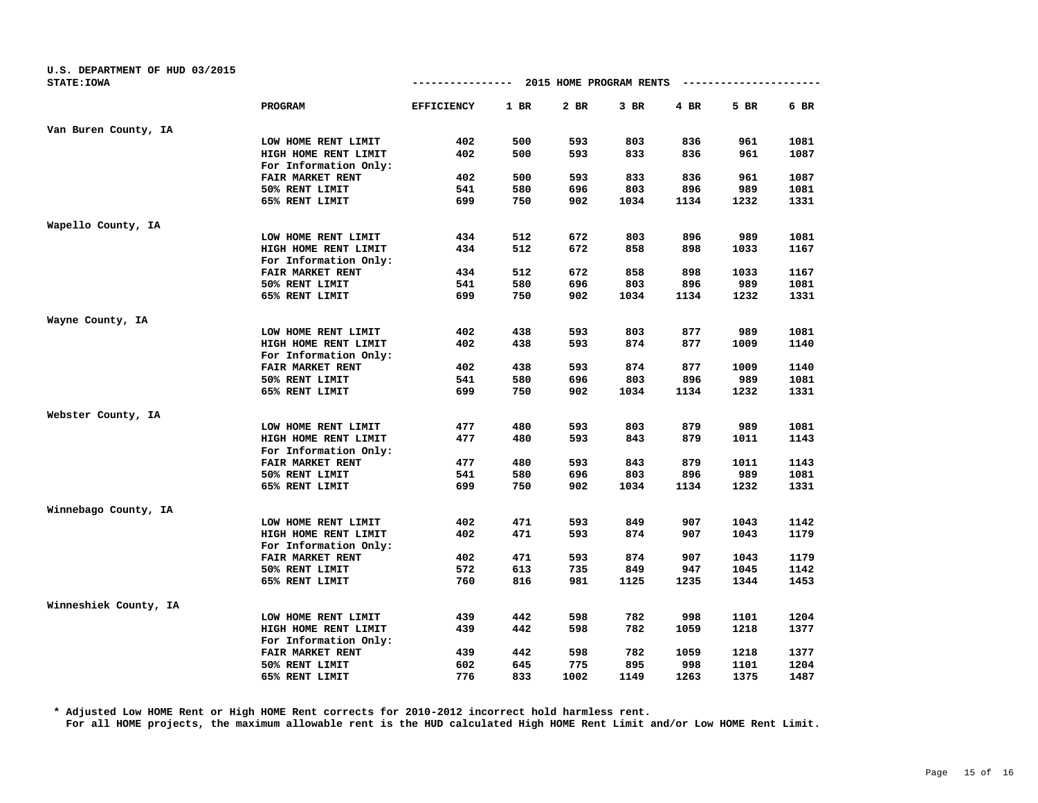| U.S. DEPARTMENT OF HUD 03/2015 |                       |                   |        |                         |        |      |                        |        |
|--------------------------------|-----------------------|-------------------|--------|-------------------------|--------|------|------------------------|--------|
| <b>STATE: IOWA</b>             |                       | --------------    |        | 2015 HOME PROGRAM RENTS |        |      | ---------------------- |        |
|                                | PROGRAM               | <b>EFFICIENCY</b> | $1$ BR | 2 BR                    | $3$ BR | 4 BR | 5 BR                   | $6$ BR |
| Van Buren County, IA           |                       |                   |        |                         |        |      |                        |        |
|                                | LOW HOME RENT LIMIT   | 402               | 500    | 593                     | 803    | 836  | 961                    | 1081   |
|                                | HIGH HOME RENT LIMIT  | 402               | 500    | 593                     | 833    | 836  | 961                    | 1087   |
|                                | For Information Only: |                   |        |                         |        |      |                        |        |
|                                | FAIR MARKET RENT      | 402               | 500    | 593                     | 833    | 836  | 961                    | 1087   |
|                                | 50% RENT LIMIT        | 541               | 580    | 696                     | 803    | 896  | 989                    | 1081   |
|                                | 65% RENT LIMIT        | 699               | 750    | 902                     | 1034   | 1134 | 1232                   | 1331   |
| Wapello County, IA             |                       |                   |        |                         |        |      |                        |        |
|                                | LOW HOME RENT LIMIT   | 434               | 512    | 672                     | 803    | 896  | 989                    | 1081   |
|                                | HIGH HOME RENT LIMIT  | 434               | 512    | 672                     | 858    | 898  | 1033                   | 1167   |
|                                | For Information Only: |                   |        |                         |        |      |                        |        |
|                                | FAIR MARKET RENT      | 434               | 512    | 672                     | 858    | 898  | 1033                   | 1167   |
|                                | 50% RENT LIMIT        | 541               | 580    | 696                     | 803    | 896  | 989                    | 1081   |
|                                | 65% RENT LIMIT        | 699               | 750    | 902                     | 1034   | 1134 | 1232                   | 1331   |
| Wayne County, IA               |                       |                   |        |                         |        |      |                        |        |
|                                | LOW HOME RENT LIMIT   | 402               | 438    | 593                     | 803    | 877  | 989                    | 1081   |
|                                | HIGH HOME RENT LIMIT  | 402               | 438    | 593                     | 874    | 877  | 1009                   | 1140   |
|                                | For Information Only: |                   |        |                         |        |      |                        |        |
|                                | FAIR MARKET RENT      | 402               | 438    | 593                     | 874    | 877  | 1009                   | 1140   |
|                                | 50% RENT LIMIT        | 541               | 580    | 696                     | 803    | 896  | 989                    | 1081   |
|                                | 65% RENT LIMIT        | 699               | 750    | 902                     | 1034   | 1134 | 1232                   | 1331   |
| Webster County, IA             |                       |                   |        |                         |        |      |                        |        |
|                                | LOW HOME RENT LIMIT   | 477               | 480    | 593                     | 803    | 879  | 989                    | 1081   |
|                                | HIGH HOME RENT LIMIT  | 477               | 480    | 593                     | 843    | 879  | 1011                   | 1143   |
|                                | For Information Only: |                   |        |                         |        |      |                        |        |
|                                | FAIR MARKET RENT      | 477               | 480    | 593                     | 843    | 879  | 1011                   | 1143   |
|                                | 50% RENT LIMIT        | 541               | 580    | 696                     | 803    | 896  | 989                    | 1081   |
|                                | 65% RENT LIMIT        | 699               | 750    | 902                     | 1034   | 1134 | 1232                   | 1331   |
| Winnebago County, IA           |                       |                   |        |                         |        |      |                        |        |
|                                | LOW HOME RENT LIMIT   | 402               | 471    | 593                     | 849    | 907  | 1043                   | 1142   |
|                                | HIGH HOME RENT LIMIT  | 402               | 471    | 593                     | 874    | 907  | 1043                   | 1179   |
|                                | For Information Only: |                   |        |                         |        |      |                        |        |
|                                | FAIR MARKET RENT      | 402               | 471    | 593                     | 874    | 907  | 1043                   | 1179   |
|                                | 50% RENT LIMIT        | 572               | 613    | 735                     | 849    | 947  | 1045                   | 1142   |
|                                | 65% RENT LIMIT        | 760               | 816    | 981                     | 1125   | 1235 | 1344                   | 1453   |
| Winneshiek County, IA          |                       |                   |        |                         |        |      |                        |        |
|                                | LOW HOME RENT LIMIT   | 439               | 442    | 598                     | 782    | 998  | 1101                   | 1204   |
|                                | HIGH HOME RENT LIMIT  | 439               | 442    | 598                     | 782    | 1059 | 1218                   | 1377   |
|                                | For Information Only: |                   |        |                         |        |      |                        |        |
|                                | FAIR MARKET RENT      | 439               | 442    | 598                     | 782    | 1059 | 1218                   | 1377   |
|                                | 50% RENT LIMIT        | 602               | 645    | 775                     | 895    | 998  | 1101                   | 1204   |
|                                | 65% RENT LIMIT        | 776               | 833    | 1002                    | 1149   | 1263 | 1375                   | 1487   |